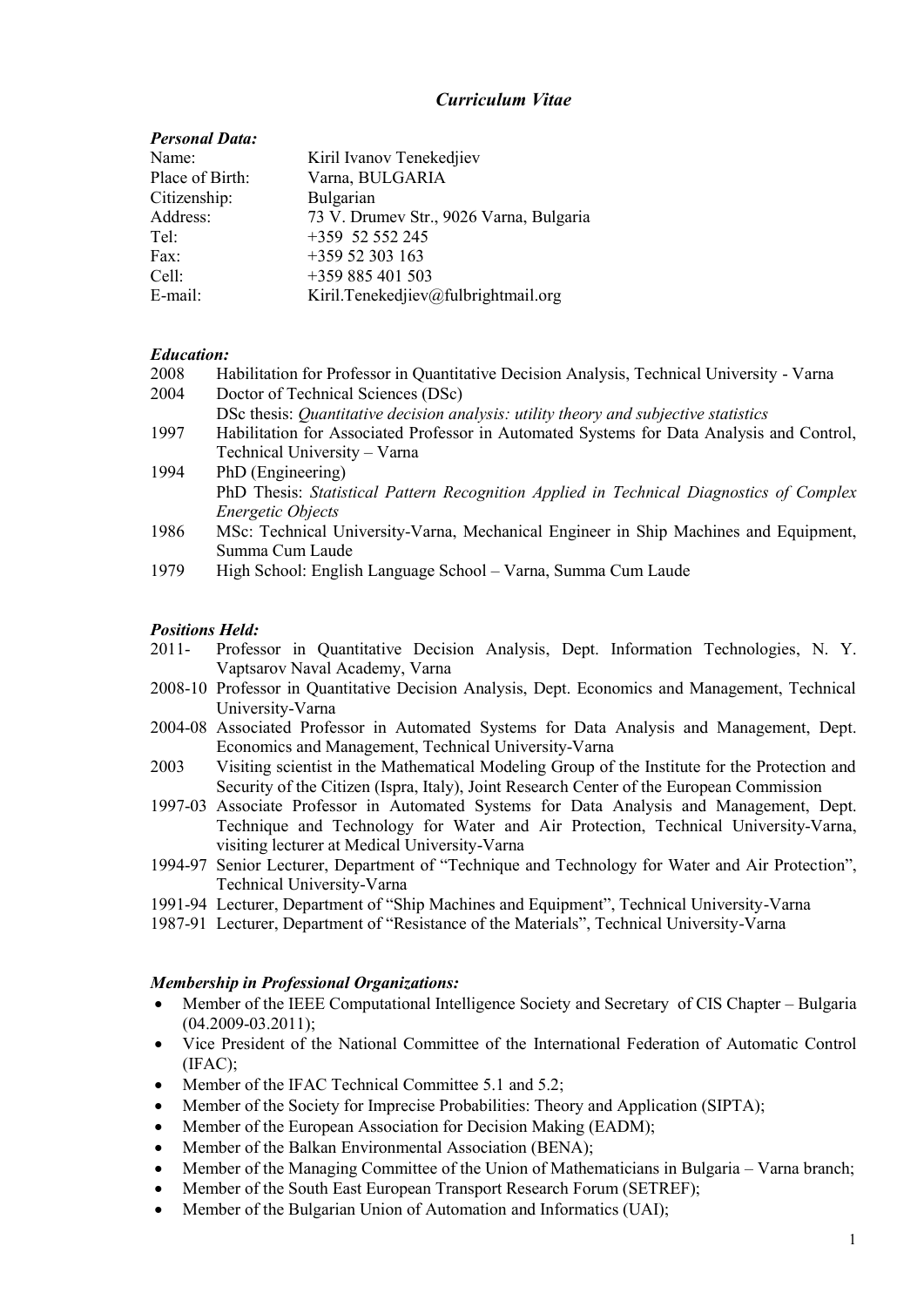# *Curriculum Vitae*

# *Personal Data:*

| Name:           | Kiril Ivanov Tenekedjiev                |
|-----------------|-----------------------------------------|
| Place of Birth: | Varna, BULGARIA                         |
| Citizenship:    | Bulgarian                               |
| Address:        | 73 V. Drumev Str., 9026 Varna, Bulgaria |
| Tel:            | +359 52 552 245                         |
| Fax:            | $+35952303163$                          |
| Cell:           | $+359885401503$                         |
| E-mail:         | Kiril.Tenekedjiev@fulbrightmail.org     |

# *Education:*

| 2008 | Habilitation for Professor in Quantitative Decision Analysis, Technical University - Varna |
|------|--------------------------------------------------------------------------------------------|
| 2004 | Doctor of Technical Sciences (DSc)                                                         |

- DSc thesis: *Quantitative decision analysis: utility theory and subjective statistics*
- 1997 Habilitation for Associated Professor in Automated Systems for Data Analysis and Control, Technical University – Varna
- 1994 PhD (Engineering) PhD Thesis: *Statistical Pattern Recognition Applied in Technical Diagnostics of Complex Energetic Objects*
- 1986 MSc: Technical University-Varna, Mechanical Engineer in Ship Machines and Equipment, Summa Cum Laude
- 1979 High School: English Language School Varna, Summa Cum Laude

## *Positions Held:*

- 2011- Professor in Quantitative Decision Analysis, Dept. Information Technologies, N. Y. Vaptsarov Naval Academy, Varna
- 2008-10 Professor in Quantitative Decision Analysis, Dept. Economics and Management, Technical University-Varna
- 2004-08 Associated Professor in Automated Systems for Data Analysis and Management, Dept. Economics and Management, Technical University-Varna
- 2003 Visiting scientist in the Mathematical Modeling Group of the Institute for the Protection and Security of the Citizen (Ispra, Italy), Joint Research Center of the European Commission
- 1997-03 Associate Professor in Automated Systems for Data Analysis and Management, Dept. Technique and Technology for Water and Air Protection, Technical University-Varna, visiting lecturer at Medical University-Varna
- 1994-97 Senior Lecturer, Department of "Technique and Technology for Water and Air Protection", Technical University-Varna
- 1991-94 Lecturer, Department of "Ship Machines and Equipment", Technical University-Varna
- 1987-91 Lecturer, Department of "Resistance of the Materials", Technical University-Varna

## *Membership in Professional Organizations:*

- Member of the IEEE Computational Intelligence Society and Secretary of CIS Chapter Bulgaria  $(04.2009 - 03.2011)$ ;
- Vice President of the National Committee of the International Federation of Automatic Control (IFAC);
- Member of the IFAC Technical Committee 5.1 and 5.2;
- Member of the Society for Imprecise Probabilities: Theory and Application (SIPTA);
- Member of the European Association for Decision Making (EADM);
- Member of the Balkan Environmental Association (BENA);
- Member of the Managing Committee of the Union of Mathematicians in Bulgaria Varna branch;
- Member of the South East European Transport Research Forum (SETREF);
- Member of the Bulgarian Union of Automation and Informatics (UAI);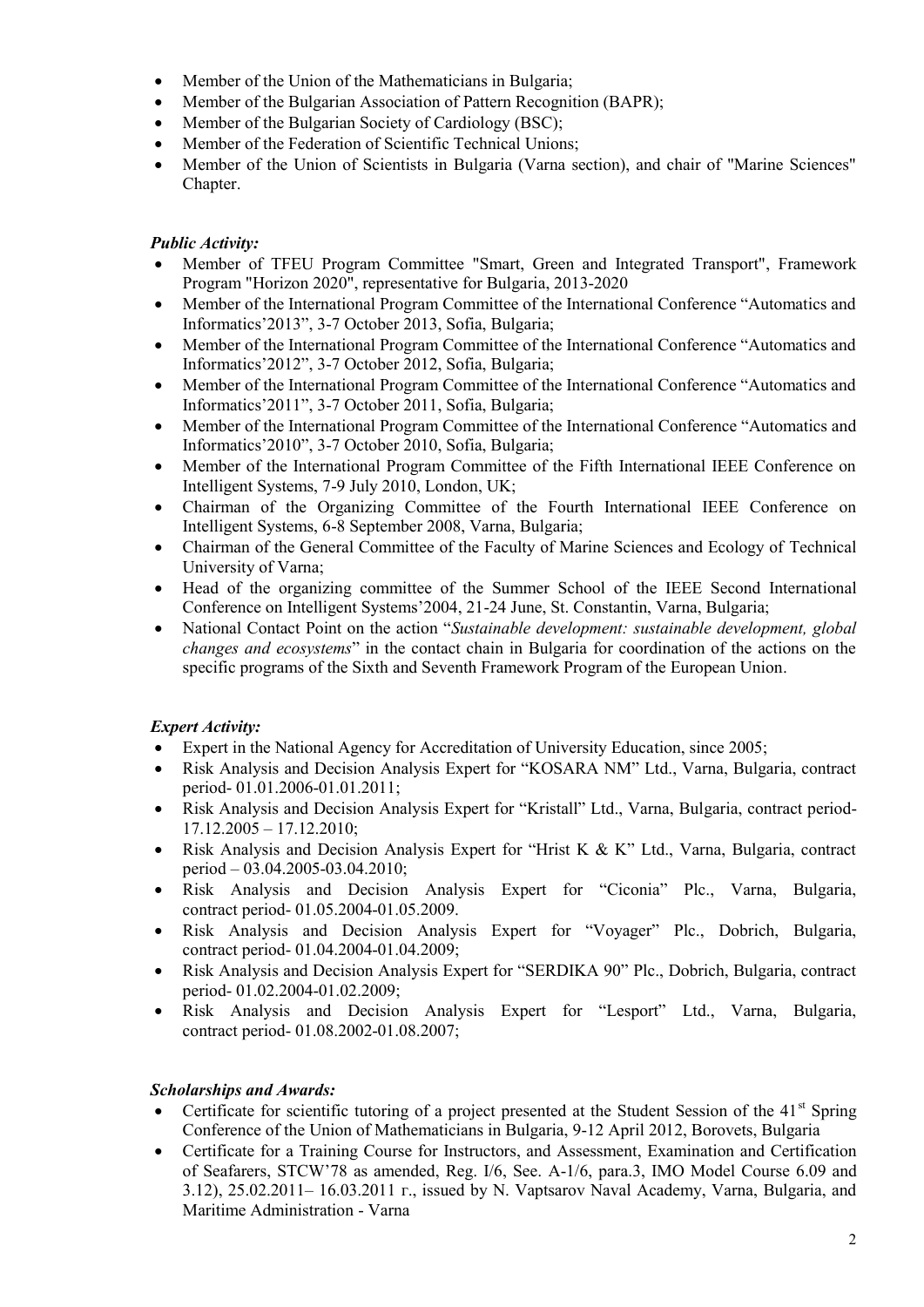- Member of the Union of the Mathematicians in Bulgaria;
- Member of the Bulgarian Association of Pattern Recognition (BAPR);
- Member of the Bulgarian Society of Cardiology (BSC);
- Member of the Federation of Scientific Technical Unions;
- Member of the Union of Scientists in Bulgaria (Varna section), and chair of "Marine Sciences" Chapter.

# *Public Activity:*

- Member of TFEU Program Committee "Smart, Green and Integrated Transport", Framework Program "Horizon 2020", representative for Bulgaria, 2013-2020
- Member of the International Program Committee of the International Conference "Automatics and Informatics'2013", 3-7 October 2013, Sofia, Bulgaria;
- Member of the International Program Committee of the International Conference "Automatics and Informatics'2012", 3-7 October 2012, Sofia, Bulgaria;
- Member of the International Program Committee of the International Conference "Automatics and Informatics'2011", 3-7 October 2011, Sofia, Bulgaria;
- Member of the International Program Committee of the International Conference "Automatics and Informatics'2010", 3-7 October 2010, Sofia, Bulgaria;
- Member of the International Program Committee of the Fifth International IEEE Conference on Intelligent Systems, 7-9 July 2010, London, UK;
- Chairman of the Organizing Committee of the Fourth International IEEE Conference on Intelligent Systems, 6-8 September 2008, Varna, Bulgaria;
- Chairman of the General Committee of the Faculty of Marine Sciences and Ecology of Technical University of Varna;
- Head of the organizing committee of the Summer School of the IEEE Second International Conference on Intelligent Systems'2004, 21-24 June, St. Constantin, Varna, Bulgaria;
- National Contact Point on the action "*Sustainable development: sustainable development, global changes and ecosystems*" in the contact chain in Bulgaria for coordination of the actions on the specific programs of the Sixth and Seventh Framework Program of the European Union.

# *Expert Activity:*

- Expert in the National Agency for Accreditation of University Education, since 2005;
- Risk Analysis and Decision Analysis Expert for "KOSARA NM" Ltd., Varna, Bulgaria, contract period- 01.01.2006-01.01.2011;
- Risk Analysis and Decision Analysis Expert for "Kristall" Ltd., Varna, Bulgaria, contract period- 17.12.2005 – 17.12.2010;
- Risk Analysis and Decision Analysis Expert for "Hrist K & K" Ltd., Varna, Bulgaria, contract period – 03.04.2005-03.04.2010;
- Risk Analysis and Decision Analysis Expert for "Ciconia" Plc., Varna, Bulgaria, contract period- 01.05.2004-01.05.2009.
- Risk Analysis and Decision Analysis Expert for "Voyager" Plc., Dobrich, Bulgaria, contract period- 01.04.2004-01.04.2009;
- Risk Analysis and Decision Analysis Expert for "SERDIKA 90" Plc., Dobrich, Bulgaria, contract period- 01.02.2004-01.02.2009;
- Risk Analysis and Decision Analysis Expert for "Lesport" Ltd., Varna, Bulgaria, contract period- 01.08.2002-01.08.2007;

# *Scholarships and Awards:*

- Certificate for scientific tutoring of a project presented at the Student Session of the  $41<sup>st</sup>$  Spring Conference of the Union of Mathematicians in Bulgaria, 9-12 April 2012, Borovets, Bulgaria
- Certificate for a Training Course for Instructors, and Assessment, Examination and Certification of Seafarers, STCW'78 as amended, Reg. I/6, See. A-1/6, para.3, IMO Model Course 6.09 and 3.12), 25.02.2011–16.03.2011 г., issued by N. Vaptsarov Naval Academy, Varna, Bulgaria, and Maritime Administration - Varna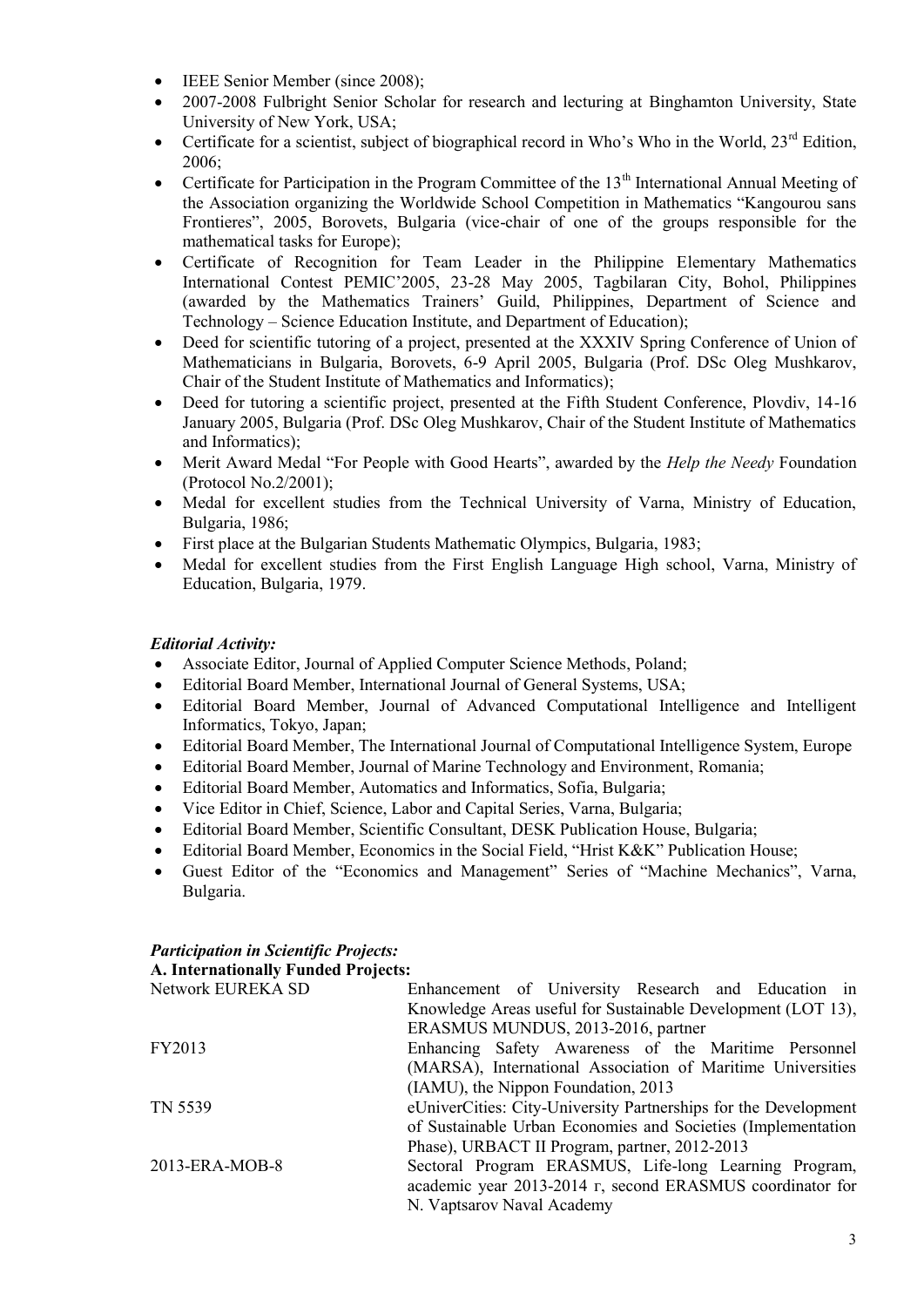- IEEE Senior Member (since 2008);
- 2007-2008 Fulbright Senior Scholar for research and lecturing at Binghamton University, State University of New York, USA;
- Certificate for a scientist, subject of biographical record in Who's Who in the World,  $23^{rd}$  Edition, 2006;
- Certificate for Participation in the Program Committee of the  $13<sup>th</sup>$  International Annual Meeting of the Association organizing the Worldwide School Competition in Mathematics "Kangourou sans Frontieres", 2005, Borovets, Bulgaria (vice-chair of one of the groups responsible for the mathematical tasks for Europe);
- Certificate of Recognition for Team Leader in the Philippine Elementary Mathematics International Contest PEMIC'2005, 23-28 May 2005, Tagbilaran City, Bohol, Philippines (awarded by the Mathematics Trainers' Guild, Philippines, Department of Science and Technology – Science Education Institute, and Department of Education);
- Deed for scientific tutoring of a project, presented at the XXXIV Spring Conference of Union of Mathematicians in Bulgaria, Borovets, 6-9 April 2005, Bulgaria (Prof. DSc Oleg Mushkarov, Chair of the Student Institute of Mathematics and Informatics);
- Deed for tutoring a scientific project, presented at the Fifth Student Conference, Plovdiv, 14-16 January 2005, Bulgaria (Prof. DSc Oleg Mushkarov, Chair of the Student Institute of Mathematics and Informatics);
- Merit Award Medal "For People with Good Hearts", awarded by the *Help the Needy* Foundation (Protocol No.2/2001);
- Medal for excellent studies from the Technical University of Varna, Ministry of Education, Bulgaria, 1986;
- First place at the Bulgarian Students Mathematic Olympics, Bulgaria, 1983;
- Medal for excellent studies from the First English Language High school, Varna, Ministry of Education, Bulgaria, 1979.

# *Editorial Activity:*

- Associate Editor, Journal of Applied Computer Science Methods, Poland;
- Editorial Board Member, International Journal of General Systems, USA;
- Editorial Board Member, Journal of Advanced Computational Intelligence and Intelligent Informatics, Tokyo, Japan;
- Editorial Board Member, The International Journal of Computational Intelligence System, Europe
- Editorial Board Member, Journal of Marine Technology and Environment, Romania;
- Editorial Board Member, Automatics and Informatics, Sofia, Bulgaria;
- Vice Editor in Chief, Science, Labor and Capital Series, Varna, Bulgaria;
- Editorial Board Member, Scientific Consultant, DESK Publication House, Bulgaria;
- Editorial Board Member, Economics in the Social Field, "Hrist K&K" Publication House;
- Guest Editor of the "Economics and Management" Series of "Machine Mechanics", Varna, Bulgaria.

# *Participation in Scientific Projects:*

**A. Internationally Funded Projects:**

| Network EUREKA SD | Enhancement of University Research and Education in             |
|-------------------|-----------------------------------------------------------------|
|                   | Knowledge Areas useful for Sustainable Development (LOT 13),    |
|                   | ERASMUS MUNDUS, 2013-2016, partner                              |
| FY2013            | Enhancing Safety Awareness of the Maritime Personnel            |
|                   | (MARSA), International Association of Maritime Universities     |
|                   | (IAMU), the Nippon Foundation, 2013                             |
| TN 5539           | eUniverCities: City-University Partnerships for the Development |
|                   | of Sustainable Urban Economies and Societies (Implementation    |
|                   | Phase), URBACT II Program, partner, 2012-2013                   |
| 2013-ERA-MOB-8    | Sectoral Program ERASMUS, Life-long Learning Program,           |
|                   | academic year 2013-2014 r, second ERASMUS coordinator for       |
|                   | N. Vaptsarov Naval Academy                                      |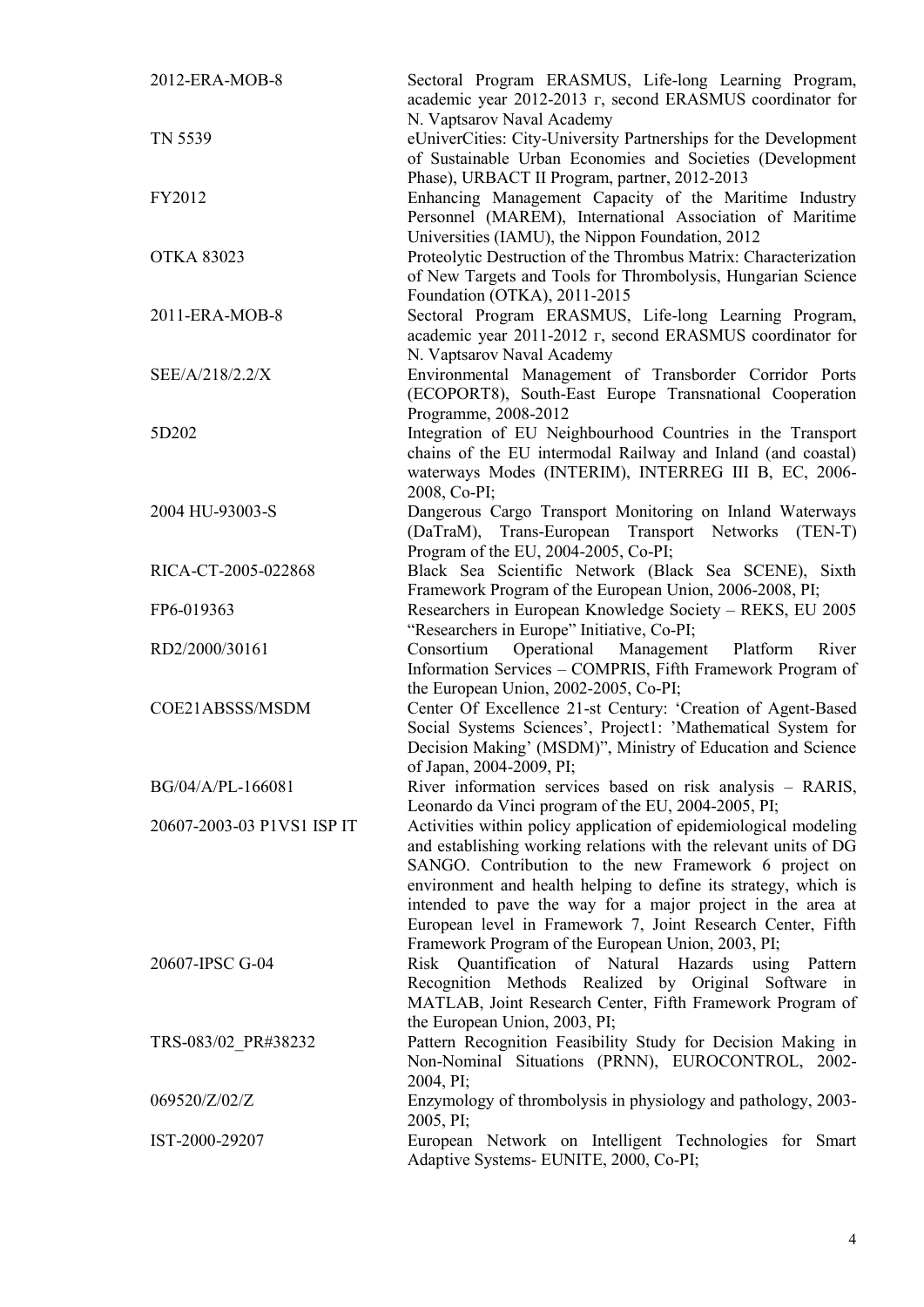| 2012-ERA-MOB-8             | Sectoral Program ERASMUS, Life-long Learning Program,<br>academic year 2012-2013 r, second ERASMUS coordinator for<br>N. Vaptsarov Naval Academy                                                                                                                                                                                                                                                                                                     |  |  |  |  |
|----------------------------|------------------------------------------------------------------------------------------------------------------------------------------------------------------------------------------------------------------------------------------------------------------------------------------------------------------------------------------------------------------------------------------------------------------------------------------------------|--|--|--|--|
| TN 5539                    | eUniverCities: City-University Partnerships for the Development<br>of Sustainable Urban Economies and Societies (Development<br>Phase), URBACT II Program, partner, 2012-2013                                                                                                                                                                                                                                                                        |  |  |  |  |
| FY2012                     | Enhancing Management Capacity of the Maritime Industry<br>Personnel (MAREM), International Association of Maritime<br>Universities (IAMU), the Nippon Foundation, 2012                                                                                                                                                                                                                                                                               |  |  |  |  |
| <b>OTKA 83023</b>          | Proteolytic Destruction of the Thrombus Matrix: Characterization<br>of New Targets and Tools for Thrombolysis, Hungarian Science<br>Foundation (OTKA), 2011-2015                                                                                                                                                                                                                                                                                     |  |  |  |  |
| 2011-ERA-MOB-8             | Sectoral Program ERASMUS, Life-long Learning Program,<br>academic year 2011-2012 r, second ERASMUS coordinator for<br>N. Vaptsarov Naval Academy                                                                                                                                                                                                                                                                                                     |  |  |  |  |
| SEE/A/218/2.2/X            | Environmental Management of Transborder Corridor Ports<br>(ECOPORT8), South-East Europe Transnational Cooperation<br>Programme, 2008-2012                                                                                                                                                                                                                                                                                                            |  |  |  |  |
| 5D202                      | Integration of EU Neighbourhood Countries in the Transport<br>chains of the EU intermodal Railway and Inland (and coastal)<br>waterways Modes (INTERIM), INTERREG III B, EC, 2006-<br>2008, Co-PI;                                                                                                                                                                                                                                                   |  |  |  |  |
| 2004 HU-93003-S            | Dangerous Cargo Transport Monitoring on Inland Waterways<br>(DaTraM), Trans-European Transport Networks (TEN-T)<br>Program of the EU, 2004-2005, Co-PI;                                                                                                                                                                                                                                                                                              |  |  |  |  |
| RICA-CT-2005-022868        | Black Sea Scientific Network (Black Sea SCENE), Sixth<br>Framework Program of the European Union, 2006-2008, PI;                                                                                                                                                                                                                                                                                                                                     |  |  |  |  |
| FP6-019363                 | Researchers in European Knowledge Society - REKS, EU 2005<br>"Researchers in Europe" Initiative, Co-PI;                                                                                                                                                                                                                                                                                                                                              |  |  |  |  |
| RD2/2000/30161             | Consortium<br>Operational<br>Management<br>Platform<br>River<br>Information Services - COMPRIS, Fifth Framework Program of<br>the European Union, 2002-2005, Co-PI;                                                                                                                                                                                                                                                                                  |  |  |  |  |
| COE21ABSSS/MSDM            | Center Of Excellence 21-st Century: 'Creation of Agent-Based<br>Social Systems Sciences', Project1: 'Mathematical System for<br>Decision Making' (MSDM)", Ministry of Education and Science<br>of Japan, 2004-2009, PI;                                                                                                                                                                                                                              |  |  |  |  |
| BG/04/A/PL-166081          | River information services based on risk analysis - RARIS,<br>Leonardo da Vinci program of the EU, 2004-2005, PI;                                                                                                                                                                                                                                                                                                                                    |  |  |  |  |
| 20607-2003-03 P1VS1 ISP IT | Activities within policy application of epidemiological modeling<br>and establishing working relations with the relevant units of DG<br>SANGO. Contribution to the new Framework 6 project on<br>environment and health helping to define its strategy, which is<br>intended to pave the way for a major project in the area at<br>European level in Framework 7, Joint Research Center, Fifth<br>Framework Program of the European Union, 2003, PI; |  |  |  |  |
| 20607-IPSC G-04            | Risk Quantification of Natural Hazards using<br>Pattern<br>Recognition Methods Realized by Original Software in<br>MATLAB, Joint Research Center, Fifth Framework Program of<br>the European Union, 2003, PI;                                                                                                                                                                                                                                        |  |  |  |  |
| TRS-083/02 PR#38232        | Pattern Recognition Feasibility Study for Decision Making in<br>Non-Nominal Situations (PRNN), EUROCONTROL, 2002-<br>2004, PI;                                                                                                                                                                                                                                                                                                                       |  |  |  |  |
| 069520/Z/02/Z              | Enzymology of thrombolysis in physiology and pathology, 2003-<br>2005, PI;                                                                                                                                                                                                                                                                                                                                                                           |  |  |  |  |
| IST-2000-29207             | European Network on Intelligent Technologies for Smart<br>Adaptive Systems- EUNITE, 2000, Co-PI;                                                                                                                                                                                                                                                                                                                                                     |  |  |  |  |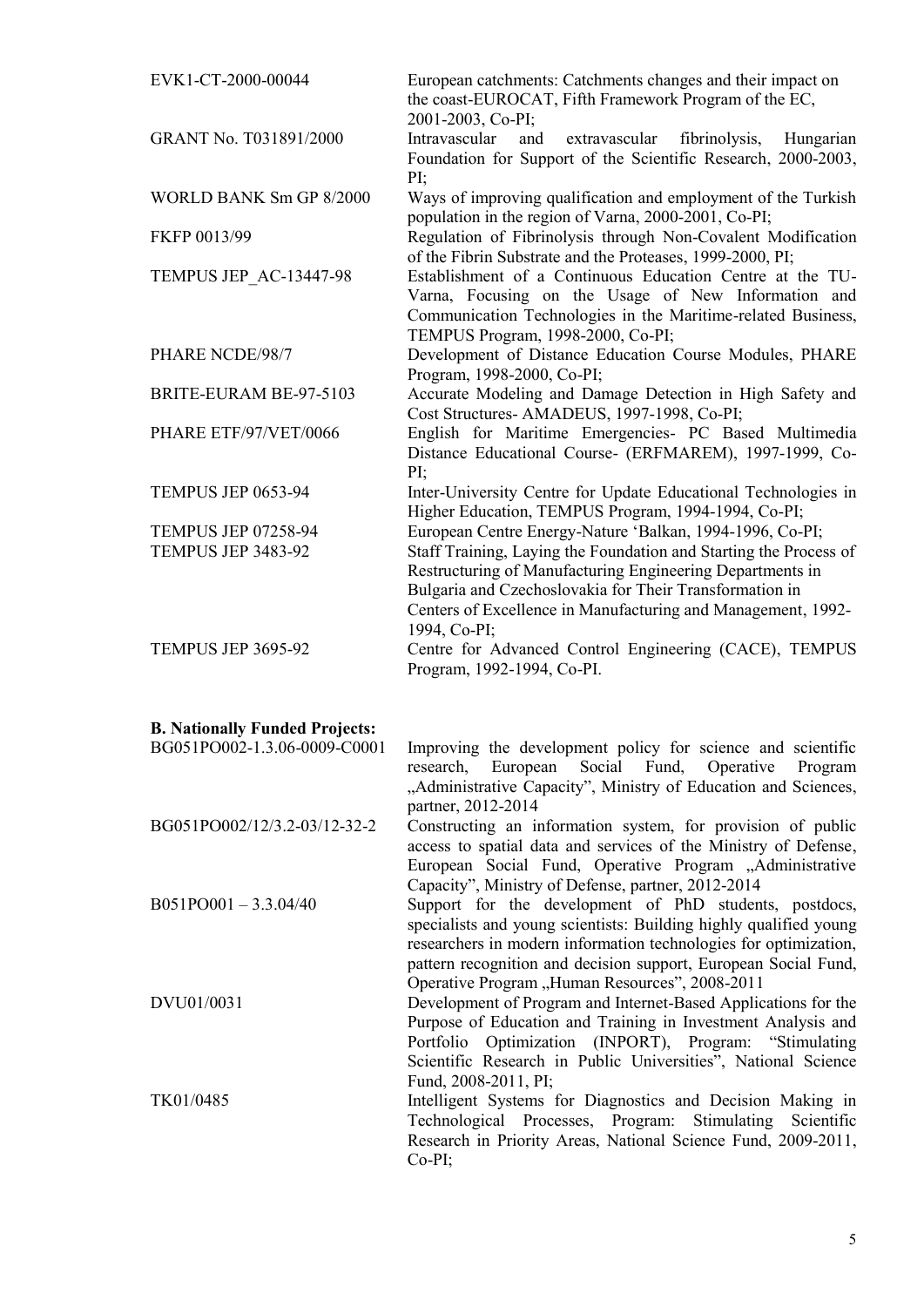| EVK1-CT-2000-00044         | European catchments: Catchments changes and their impact on<br>the coast-EUROCAT, Fifth Framework Program of the EC,<br>2001-2003, Co-PI;                                                                                                                                 |
|----------------------------|---------------------------------------------------------------------------------------------------------------------------------------------------------------------------------------------------------------------------------------------------------------------------|
| GRANT No. T031891/2000     | extravascular<br>Intravascular<br>fibrinolysis,<br>and<br>Hungarian<br>Foundation for Support of the Scientific Research, 2000-2003,<br>PI:                                                                                                                               |
| WORLD BANK Sm GP 8/2000    | Ways of improving qualification and employment of the Turkish<br>population in the region of Varna, 2000-2001, Co-PI;                                                                                                                                                     |
| FKFP 0013/99               | Regulation of Fibrinolysis through Non-Covalent Modification<br>of the Fibrin Substrate and the Proteases, 1999-2000, PI;                                                                                                                                                 |
| TEMPUS JEP_AC-13447-98     | Establishment of a Continuous Education Centre at the TU-<br>Varna, Focusing on the Usage of New Information and<br>Communication Technologies in the Maritime-related Business,<br>TEMPUS Program, 1998-2000, Co-PI;                                                     |
| PHARE NCDE/98/7            | Development of Distance Education Course Modules, PHARE<br>Program, 1998-2000, Co-PI;                                                                                                                                                                                     |
| BRITE-EURAM BE-97-5103     | Accurate Modeling and Damage Detection in High Safety and<br>Cost Structures- AMADEUS, 1997-1998, Co-PI;                                                                                                                                                                  |
| PHARE ETF/97/VET/0066      | English for Maritime Emergencies- PC Based Multimedia<br>Distance Educational Course- (ERFMAREM), 1997-1999, Co-<br>PI:                                                                                                                                                   |
| <b>TEMPUS JEP 0653-94</b>  | Inter-University Centre for Update Educational Technologies in<br>Higher Education, TEMPUS Program, 1994-1994, Co-PI;                                                                                                                                                     |
| <b>TEMPUS JEP 07258-94</b> | European Centre Energy-Nature 'Balkan, 1994-1996, Co-PI;                                                                                                                                                                                                                  |
| TEMPUS JEP 3483-92         | Staff Training, Laying the Foundation and Starting the Process of<br>Restructuring of Manufacturing Engineering Departments in<br>Bulgaria and Czechoslovakia for Their Transformation in<br>Centers of Excellence in Manufacturing and Management, 1992-<br>1994, Co-PI; |
| TEMPUS JEP 3695-92         | Centre for Advanced Control Engineering (CACE), TEMPUS<br>Program, 1992-1994, Co-PI.                                                                                                                                                                                      |

# **B. Nationally Funded Projects:**

| Improving the development policy for science and scientific       |
|-------------------------------------------------------------------|
| research, European Social Fund, Operative<br>Program              |
| "Administrative Capacity", Ministry of Education and Sciences,    |
| partner, 2012-2014                                                |
| Constructing an information system, for provision of public       |
| access to spatial data and services of the Ministry of Defense,   |
| European Social Fund, Operative Program "Administrative           |
| Capacity", Ministry of Defense, partner, 2012-2014                |
| Support for the development of PhD students, postdocs,            |
| specialists and young scientists: Building highly qualified young |
| researchers in modern information technologies for optimization,  |
| pattern recognition and decision support, European Social Fund,   |
| Operative Program "Human Resources", 2008-2011                    |
| Development of Program and Internet-Based Applications for the    |
| Purpose of Education and Training in Investment Analysis and      |
| Portfolio Optimization (INPORT), Program: "Stimulating            |
| Scientific Research in Public Universities", National Science     |
| Fund, $2008-2011$ , PI;                                           |
| Intelligent Systems for Diagnostics and Decision Making in        |
| Technological Processes, Program: Stimulating Scientific          |
| Research in Priority Areas, National Science Fund, 2009-2011,     |
| $Co-PI$ ;                                                         |
|                                                                   |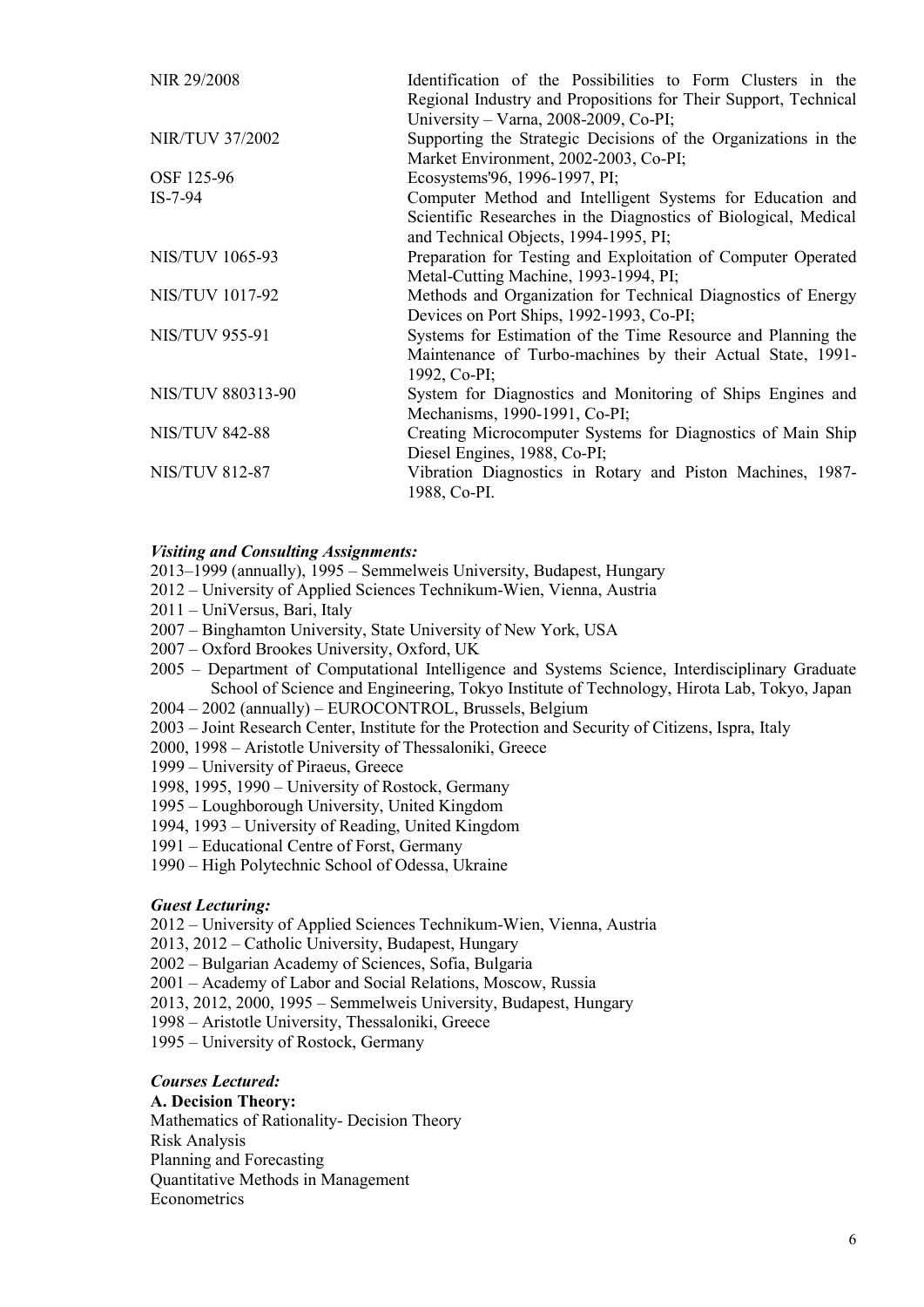| NIR 29/2008              | Identification of the Possibilities to Form Clusters in the     |
|--------------------------|-----------------------------------------------------------------|
|                          | Regional Industry and Propositions for Their Support, Technical |
|                          | University – Varna, 2008-2009, Co-PI;                           |
| <b>NIR/TUV 37/2002</b>   | Supporting the Strategic Decisions of the Organizations in the  |
|                          | Market Environment, 2002-2003, Co-PI;                           |
| OSF 125-96               | Ecosystems'96, 1996-1997, PI;                                   |
| $IS-7-94$                | Computer Method and Intelligent Systems for Education and       |
|                          | Scientific Researches in the Diagnostics of Biological, Medical |
|                          | and Technical Objects, 1994-1995, PI;                           |
| <b>NIS/TUV 1065-93</b>   | Preparation for Testing and Exploitation of Computer Operated   |
|                          | Metal-Cutting Machine, 1993-1994, PI;                           |
| <b>NIS/TUV 1017-92</b>   | Methods and Organization for Technical Diagnostics of Energy    |
|                          | Devices on Port Ships, 1992-1993, Co-PI;                        |
| <b>NIS/TUV 955-91</b>    | Systems for Estimation of the Time Resource and Planning the    |
|                          | Maintenance of Turbo-machines by their Actual State, 1991-      |
|                          | 1992, Co-PI;                                                    |
| <b>NIS/TUV 880313-90</b> | System for Diagnostics and Monitoring of Ships Engines and      |
|                          | Mechanisms, 1990-1991, Co-PI;                                   |
| <b>NIS/TUV 842-88</b>    | Creating Microcomputer Systems for Diagnostics of Main Ship     |
|                          | Diesel Engines, 1988, Co-PI;                                    |
| <b>NIS/TUV 812-87</b>    | Vibration Diagnostics in Rotary and Piston Machines, 1987-      |
|                          | 1988, Co-PI.                                                    |

# *Visiting and Consulting Assignments:*

- 2013–1999 (annually), 1995 Semmelweis University, Budapest, Hungary
- 2012 University of Applied Sciences Technikum-Wien, Vienna, Austria
- 2011 UniVersus, Bari, Italy
- 2007 Binghamton University, State University of New York, USA
- 2007 Oxford Brookes University, Oxford, UK
- 2005 Department of Computational Intelligence and Systems Science, Interdisciplinary Graduate School of Science and Engineering, Tokyo Institute of Technology, Hirota Lab, Tokyo, Japan
- 2004 2002 (annually) EUROCONTROL, Brussels, Belgium
- 2003 Joint Research Center, Institute for the Protection and Security of Citizens, Ispra, Italy
- 2000, 1998 Aristotle University of Thessaloniki, Greece
- 1999 University of Piraeus, Greece
- 1998, 1995, 1990 University of Rostock, Germany
- 1995 Loughborough University, United Kingdom
- 1994, 1993 University of Reading, United Kingdom
- 1991 Educational Centre of Forst, Germany
- 1990 High Polytechnic School of Odessa, Ukraine

#### *Guest Lecturing:*

- 2012 University of Applied Sciences Technikum-Wien, Vienna, Austria
- 2013, 2012 Catholic University, Budapest, Hungary
- 2002 Bulgarian Academy of Sciences, Sofia, Bulgaria
- 2001 Academy of Labor and Social Relations, Moscow, Russia
- 2013, 2012, 2000, 1995 Semmelweis University, Budapest, Hungary
- 1998 Aristotle University, Thessaloniki, Greece
- 1995 University of Rostock, Germany

# *Courses Lectured:*

**A. Decision Theory:** Mathematics of Rationality- Decision Theory Risk Analysis Planning and Forecasting Quantitative Methods in Management **Econometrics**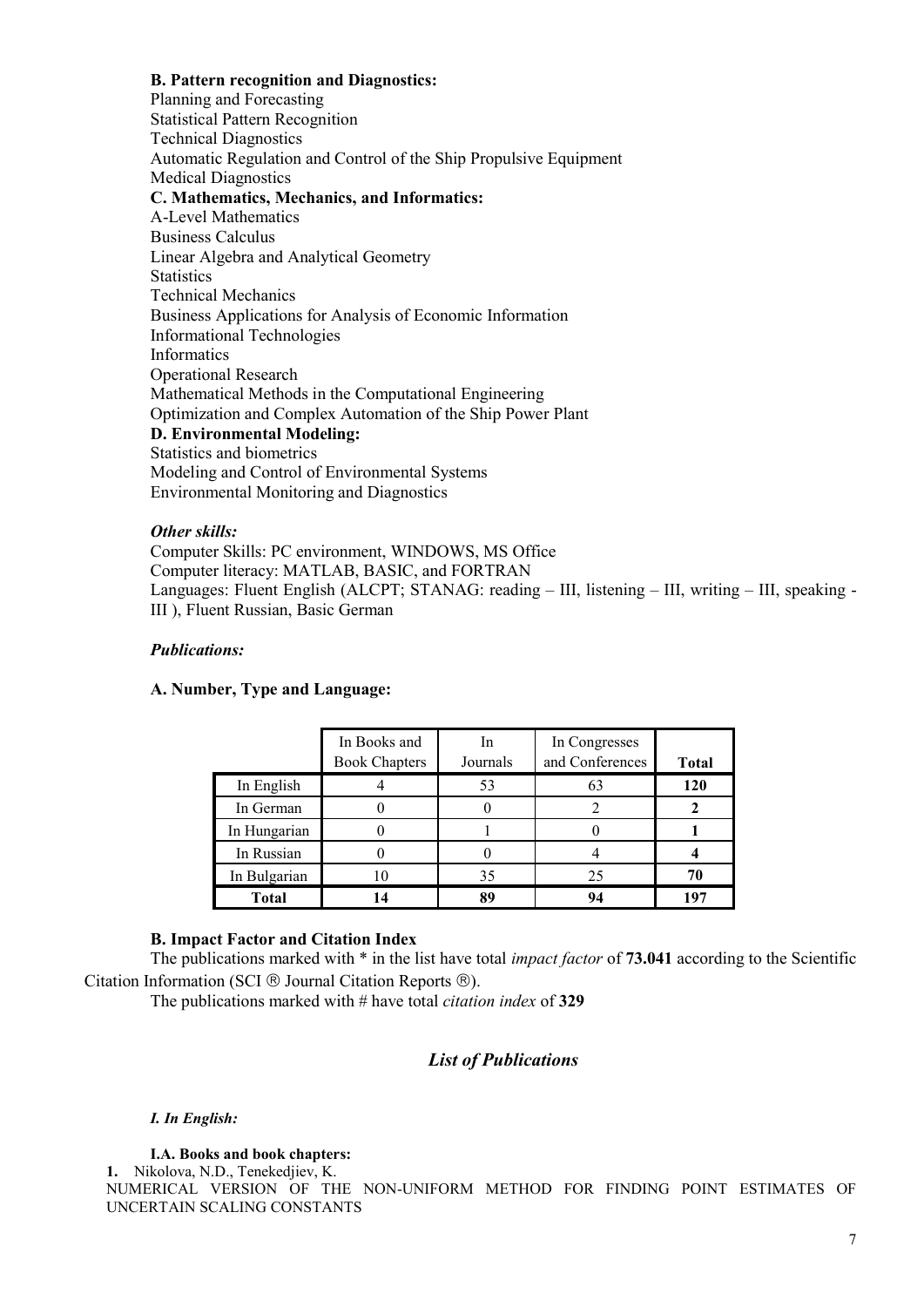# **B. Pattern recognition and Diagnostics:**

Planning and Forecasting Statistical Pattern Recognition Technical Diagnostics Automatic Regulation and Control of the Ship Propulsive Equipment Medical Diagnostics **C. Mathematics, Mechanics, and Informatics:** A-Level Mathematics Business Calculus Linear Algebra and Analytical Geometry **Statistics** Technical Mechanics Business Applications for Analysis of Economic Information Informational Technologies Informatics Operational Research Mathematical Methods in the Computational Engineering Optimization and Complex Automation of the Ship Power Plant **D. Environmental Modeling:** Statistics and biometrics Modeling and Control of Environmental Systems Environmental Monitoring and Diagnostics

#### *Other skills:*

Computer Skills: PC environment, WINDOWS, MS Office Computer literacy: MATLAB, BASIC, and FORTRAN Languages: Fluent English (ALCPT; STANAG: reading – III, listening – III, writing – III, speaking - III ), Fluent Russian, Basic German

#### *Publications:*

## **A. Number, Type and Language:**

|              | In Books and<br><b>Book Chapters</b> | In.<br>Journals | In Congresses<br>and Conferences | <b>Total</b> |
|--------------|--------------------------------------|-----------------|----------------------------------|--------------|
| In English   |                                      | 53              | 63                               | 120          |
| In German    |                                      |                 |                                  |              |
| In Hungarian |                                      |                 |                                  |              |
| In Russian   |                                      |                 |                                  |              |
| In Bulgarian | 10                                   | 35              | 25                               |              |
| <b>Total</b> | 14                                   | 89              | 94                               | 197          |

## **B. Impact Factor and Citation Index**

The publications marked with \* in the list have total *impact factor* of **73.041** according to the Scientific Citation Information (SCI  $\otimes$  Journal Citation Reports  $\otimes$ ).

The publications marked with # have total *citation index* of **329**

# *List of Publications*

# *I. In English:*

**I.A. Books and book chapters:**

**1.** Nikolova, N.D., Tenekedjiev, K. NUMERICAL VERSION OF THE NON-UNIFORM METHOD FOR FINDING POINT ESTIMATES OF UNCERTAIN SCALING CONSTANTS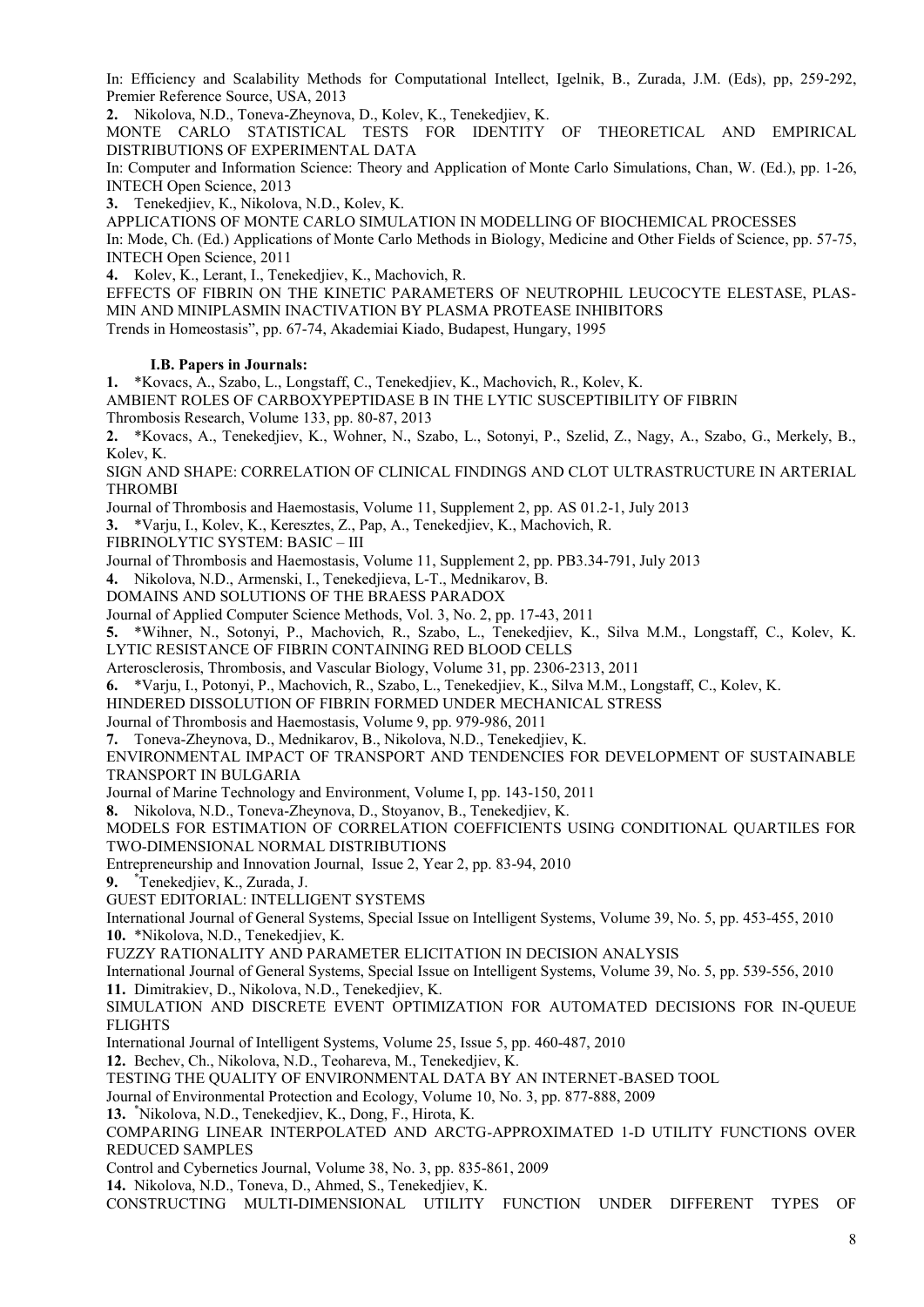In: Efficiency and Scalability Methods for Computational Intellect, Igelnik, B., Zurada, J.M. (Eds), pp, 259-292, Premier Reference Source, USA, 2013

**2.** Nikolova, N.D., Toneva-Zheynova, D., Kolev, K., Tenekedjiev, K.

MONTE CARLO STATISTICAL TESTS FOR IDENTITY OF THEORETICAL AND EMPIRICAL DISTRIBUTIONS OF EXPERIMENTAL DATA

In: Computer and Information Science: Theory and Application of Monte Carlo Simulations, Chan, W. (Ed.), pp. 1-26, INTECH Open Science, 2013

**3.** Tenekedjiev, К., Nikolova, N.D., Kolev, K.

APPLICATIONS OF MONTE CARLO SIMULATION IN MODELLING OF BIOCHEMICAL PROCESSES

In: Mode, Ch. (Ed.) Applications of Monte Carlo Methods in Biology, Medicine and Other Fields of Science, pp. 57-75, INTECH Open Science, 2011

**4.** Kolev, K., Lerant, I., Tenekedjiev, K., Machovich, R.

EFFECTS OF FIBRIN ON THE KINETIC PARAMETERS OF NEUTROPHIL LEUCOCYTE ELESTASE, PLAS- MIN AND MINIPLASMIN INACTIVATION BY PLASMA PROTEASE INHIBITORS

Trends in Homeostasis", pp. 67-74, Akademiai Kiado, Budapest, Hungary, 1995

#### **I.B. Papers in Journals:**

**1.** \*Kovacs, A., Szabo, L., Longstaff, C., Tenekedjiev, K., Machovich, R., Kolev, K.

AMBIENT ROLES OF CARBOXYPEPTIDASE B IN THE LYTIC SUSCEPTIBILITY OF FIBRIN Thrombosis Research, Volume 133, pp. 80-87, 2013

**2.** \*Kovacs, A., Tenekedjiev, K., Wohner, N., Szabo, L., Sotonyi, P., Szelid, Z., Nagy, A., Szabo, G., Merkely, B., Kolev, K.

SIGN AND SHAPE: CORRELATION OF CLINICAL FINDINGS AND CLOT ULTRASTRUCTURE IN ARTERIAL THROMBI

Journal оf Thrombosis and Haemostasis, Volume 11, Supplement 2, pp. AS 01.2-1, July 2013

**3.** \*Varju, I., Kolev, K., Keresztes, Z., Pap, A., Tenekedjiev, K., Machovich, R.

FIBRINOLYTIC SYSTEM: BASIC – III

Journal оf Thrombosis and Haemostasis, Volume 11, Supplement 2, pp. PB3.34-791, July 2013

**4.** Nikolova, N.D., Armenski, I., Tenekedjieva, L-T., Mednikarov, B.

DOMAINS AND SOLUTIONS OF THE BRAESS PARADOX

Journal of Applied Computer Science Methods, Vol. 3, No. 2, pp. 17-43, 2011

**5.** \*Wihner, N., Sotonyi, P., Machovich, R., Szabo, L., Tenekedjiev, K., Silva M.M., Longstaff, C., Kolev, K. LYTIC RESISTANCE OF FIBRIN CONTAINING RED BLOOD CELLS

Arterosclerosis, Thrombosis, and Vascular Biology, Volume 31, pp. 2306-2313, 2011

**6.** \*Varju, I., Potonyi, P., Machovich, R., Szabo, L., Tenekedjiev, K., Silva M.M., Longstaff, C., Kolev, K.

HINDERED DISSOLUTION OF FIBRIN FORMED UNDER MECHANICAL STRESS

Journal of Thrombosis and Haemostasis, Volume 9, pp. 979-986, 2011

**7.** Toneva-Zheynova, D., Mednikarov, B., Nikolova, N.D., Tenekedjiev, K.

ENVIRONMENTAL IMPACT OF TRANSPORT AND TENDENCIES FOR DEVELOPMENT OF SUSTAINABLE TRANSPORT IN BULGARIA

Journal of Marine Technology and Environment, Volume I, pp. 143-150, 2011

**8.** Nikolova, N.D., Toneva-Zheynova, D., Stoyanov, B., Tenekedjiev, K.

MODELS FOR ESTIMATION OF CORRELATION COEFFICIENTS USING CONDITIONAL QUARTILES FOR TWO-DIMENSIONAL NORMAL DISTRIBUTIONS

Entrepreneurship and Innovation Journal, Issue 2, Year 2, pp. 83-94, 2010

**9.** \*Tenekedjiev, K., Zurada, J.

GUEST EDITORIAL: INTELLIGENT SYSTEMS

International Journal of General Systems, Special Issue on Intelligent Systems, Volume 39, No. 5, pp. 453-455, 2010 **10.** \*Nikolova, N.D., Tenekedjiev, K.

FUZZY RATIONALITY AND PARAMETER ELICITATION IN DECISION ANALYSIS

International Journal of General Systems, Special Issue on Intelligent Systems, Volume 39, No. 5, pp. 539-556, 2010 **11.** Dimitrakiev, D., Nikolova, N.D., Tenekedjiev, K.

SIMULATION AND DISCRETE EVENT OPTIMIZATION FOR AUTOMATED DECISIONS FOR IN-QUEUE FLIGHTS

International Journal of Intelligent Systems, Volume 25, Issue 5, pp. 460-487, 2010

**12.** Bechev, Ch., Nikolova, N.D., Teohareva, M., Tenekedjiev, K.

TESTING THE QUALITY OF ENVIRONMENTAL DATA BY AN INTERNET-BASED TOOL

Journal of Environmental Protection and Ecology, Volume 10, No. 3, pp. 877-888, 2009

**13.** \*Nikolova, N.D., Tenekedjiev, K., Dong, F., Hirota, K.

COMPARING LINEAR INTERPOLATED AND ARCTG-APPROXIMATED 1-D UTILITY FUNCTIONS OVER REDUCED SAMPLES

Control and Cybernetics Journal, Volume 38, No. 3, pp. 835-861, 2009

**14.** Nikolova, N.D., Toneva, D., Ahmed, S., Tenekedjiev, K.

CONSTRUCTING MULTI-DIMENSIONAL UTILITY FUNCTION UNDER DIFFERENT TYPES OF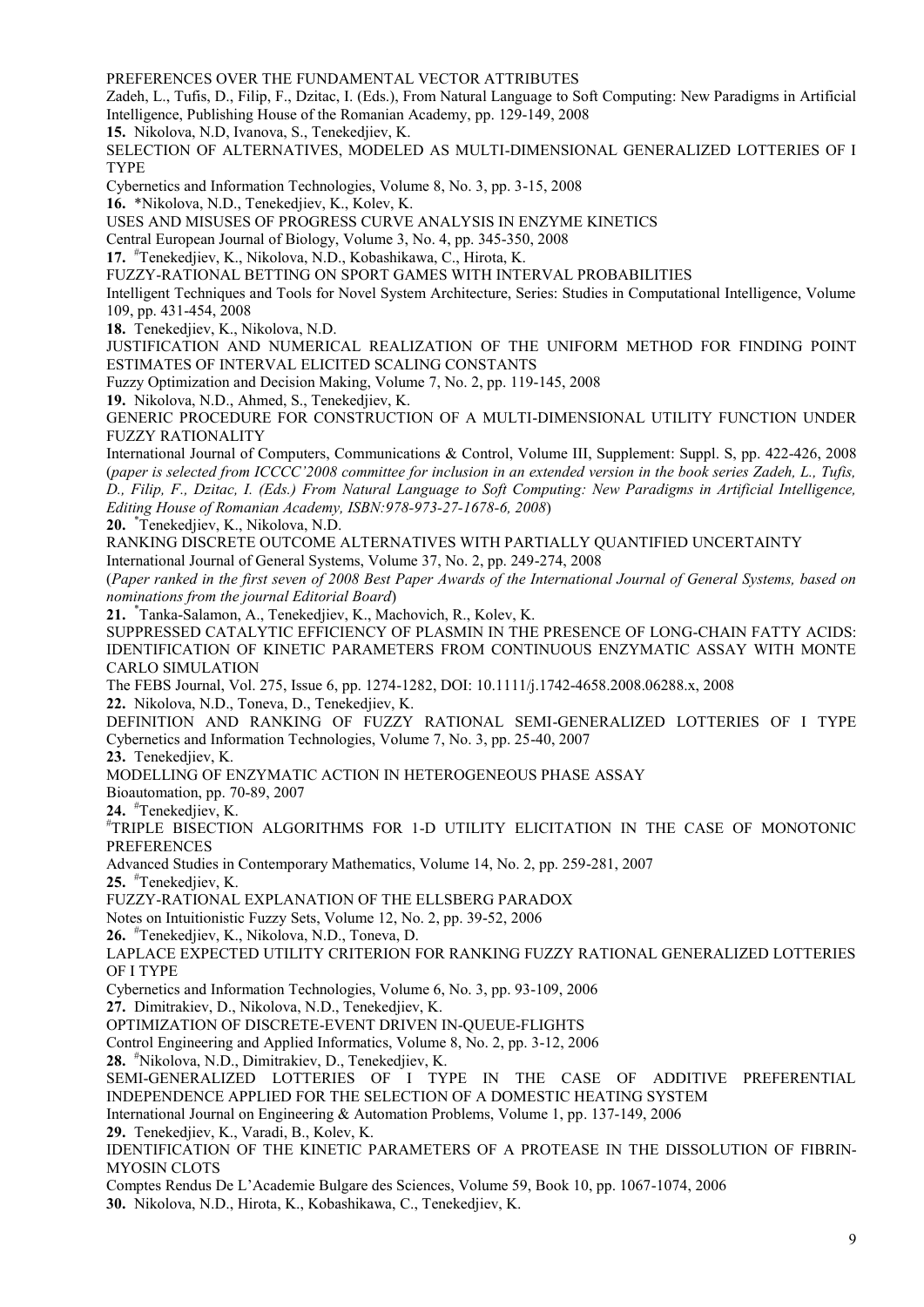PREFERENCES OVER THE FUNDAMENTAL VECTOR ATTRIBUTES

Zadeh, L., Tufis, D., Filip, F., Dzitac, I. (Eds.), From Natural Language to Soft Computing: New Paradigms in Artificial Intelligence, Publishing House of the Romanian Academy, pp. 129-149, 2008

**15.** Nikolova, N.D, Ivanova, S., Tenekedjiev, K.

SELECTION OF ALTERNATIVES, MODELED AS MULTI-DIMENSIONAL GENERALIZED LOTTERIES OF I TYPE

Cybernetics and Information Technologies, Volume 8, No. 3, pp. 3-15, 2008

**16.** \*Nikolova, N.D., Tenekedjiev, K., Kolev, K.

USES AND MISUSES OF PROGRESS CURVE ANALYSIS IN ENZYME KINETICS

Central European Journal of Biology, Volume 3, No. 4, pp. 345-350, 2008

**17.** #Tenekedjiev, K., Nikolova, N.D., Kobashikawa, C., Hirota, K.

FUZZY-RATIONAL BETTING ON SPORT GAMES WITH INTERVAL PROBABILITIES

Intelligent Techniques and Tools for Novel System Architecture, Series: Studies in Computational Intelligence, Volume 109, pp. 431-454, 2008

**18.** Tenekedjiev, K., Nikolova, N.D.

JUSTIFICATION AND NUMERICAL REALIZATION OF THE UNIFORM METHOD FOR FINDING POINT ESTIMATES OF INTERVAL ELICITED SCALING CONSTANTS

Fuzzy Optimization and Decision Making, Volume 7, No. 2, pp. 119-145, 2008

**19.** Nikolova, N.D., Ahmed, S., Tenekedjiev, K.

GENERIC PROCEDURE FOR CONSTRUCTION OF A MULTI-DIMENSIONAL UTILITY FUNCTION UNDER FUZZY RATIONALITY

International Journal of Computers, Communications & Control, Volume III, Supplement: Suppl. S, pp. 422-426, 2008 (*paper is selected from ICCCC'2008 committee for inclusion in an extended version in the book series Zadeh, L., Tufis, D., Filip, F., Dzitac, I. (Eds.) From Natural Language to Soft Computing: New Paradigms in Artificial Intelligence, Editing House of Romanian Academy, ISBN:978-973-27-1678-6, 2008*)

**20.** \*Tenekedjiev, K., Nikolova, N.D.

RANKING DISCRETE OUTCOME ALTERNATIVES WITH PARTIALLY QUANTIFIED UNCERTAINTY

International Journal of General Systems, Volume 37, No. 2, pp. 249-274, 2008

(*Paper ranked in the first seven of 2008 Best Paper Awards of the International Journal of General Systems, based on nominations from the journal Editorial Board*)

**21.** \*Tanka-Salamon, A., Tenekedjiev, K., Machovich, R., Kolev, K.

SUPPRESSED CATALYTIC EFFICIENCY OF PLASMIN IN THE PRESENCE OF LONG-CHAIN FATTY ACIDS: IDENTIFICATION OF KINETIC PARAMETERS FROM CONTINUOUS ENZYMATIC ASSAY WITH MONTE CARLO SIMULATION

The FEBS Journal, Vol. 275, Issue 6, pp. 1274-1282, DOI: 10.1111/j.1742-4658.2008.06288.x, 2008 **22.** Nikolova, N.D., Toneva, D., Tenekedjiev, K.

DEFINITION AND RANKING OF FUZZY RATIONAL SEMI-GENERALIZED LOTTERIES OF I TYPE Cybernetics and Information Technologies, Volume 7, No. 3, pp. 25-40, 2007

**23.** Tenekedjiev, K.

MODELLING OF ENZYMATIC ACTION IN HETEROGENEOUS PHASE ASSAY

Bioautomation, pp. 70-89, 2007

**24.** #Tenekedjiev, K.

#TRIPLE BISECTION ALGORITHMS FOR 1-D UTILITY ELICITATION IN THE CASE OF MONOTONIC **PREFERENCES** 

Advanced Studies in Contemporary Mathematics, Volume 14, No. 2, pp. 259-281, 2007

**25.** #Tenekedjiev, K.

FUZZY-RATIONAL EXPLANATION OF THE ELLSBERG PARADOX

Notes on Intuitionistic Fuzzy Sets, Volume 12, No. 2, pp. 39-52, 2006

**26.** #Tenekedjiev, K., Nikolova, N.D., Toneva, D.

LAPLACE EXPECTED UTILITY CRITERION FOR RANKING FUZZY RATIONAL GENERALIZED LOTTERIES OF I TYPE

Cybernetics and Information Technologies, Volume 6, No. 3, pp. 93-109, 2006

**27.** Dimitrakiev, D., Nikolova, N.D., Tenekedjiev, K.

OPTIMIZATION OF DISCRETE-EVENT DRIVEN IN-QUEUE-FLIGHTS

Control Engineering and Applied Informatics, Volume 8, No. 2, pp. 3-12, 2006

**28.** #Nikolova, N.D., Dimitrakiev, D., Tenekedjiev, K.

SEMI-GENERALIZED LOTTERIES OF I TYPE IN THE CASE OF ADDITIVE PREFERENTIAL INDEPENDENCE APPLIED FOR THE SELECTION OF A DOMESTIC HEATING SYSTEM

International Journal on Engineering & Automation Problems, Volume 1, pp. 137-149, 2006

**29.** Tenekedjiev, K., Varadi, B., Kolev, K.

IDENTIFICATION OF THE KINETIC PARAMETERS OF A PROTEASE IN THE DISSOLUTION OF FIBRIN- MYOSIN CLOTS

Comptes Rendus De L'Academie Bulgare des Sciences, Volume 59, Book 10, pp. 1067-1074, 2006

**30.** Nikolova, N.D., Hirota, K., Kobashikawa, C., Tenekedjiev, K.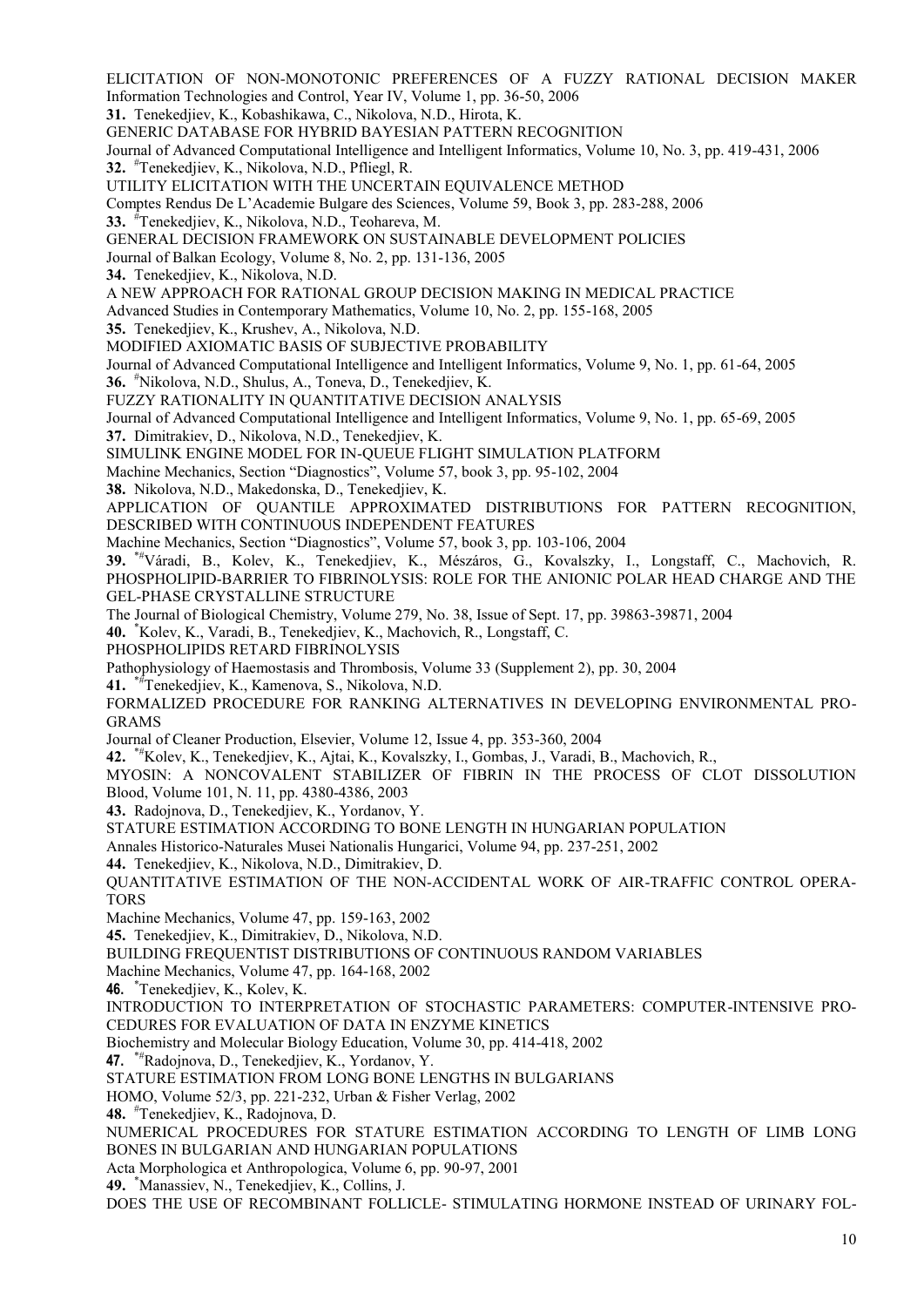10 Information Technologies and Control, Year IV, Volume 1, pp. 36-50, 2006 **31.** Tenekedjiev, K., Kobashikawa, C., Nikolova, N.D., Hirota, K. GENERIC DATABASE FOR HYBRID BAYESIAN PATTERN RECOGNITION Journal of Advanced Computational Intelligence and Intelligent Informatics, Volume 10, No. 3, pp. 419-431, 2006 **32.** #Tenekedjiev, K., Nikolova, N.D., Pfliegl, R. UTILITY ELICITATION WITH THE UNCERTAIN EQUIVALENCE METHOD Comptes Rendus De L'Academie Bulgare des Sciences, Volume 59, Book 3, pp. 283-288, 2006 **33.** #Tenekedjiev, K., Nikolova, N.D., Teohareva, M. GENERAL DECISION FRAMEWORK ON SUSTAINABLE DEVELOPMENT POLICIES Journal of Balkan Ecology, Volume 8, No. 2, pp. 131-136, 2005 **34.** Tenekedjiev, K., Nikolova, N.D. A NEW APPROACH FOR RATIONAL GROUP DECISION MAKING IN MEDICAL PRACTICE Advanced Studies in Contemporary Mathematics, Volume 10, No. 2, pp. 155-168, 2005 **35.** Tenekedjiev, K., Krushev, A., Nikolova, N.D. MODIFIED AXIOMATIC BASIS OF SUBJECTIVE PROBABILITY Journal of Advanced Computational Intelligence and Intelligent Informatics, Volume 9, No. 1, pp. 61-64, 2005 **36.** #Nikolova, N.D., Shulus, A., Toneva, D., Tenekedjiev, K. FUZZY RATIONALITY IN QUANTITATIVE DECISION ANALYSIS Journal of Advanced Computational Intelligence and Intelligent Informatics, Volume 9, No. 1, pp. 65-69, 2005 **37.** Dimitrakiev, D., Nikolova, N.D., Tenekedjiev, K. SIMULINK ENGINE MODEL FOR IN-QUEUE FLIGHT SIMULATION PLATFORM Machine Mechanics, Section "Diagnostics", Volume 57, book 3, pp. 95-102, 2004 **38.** Nikolova, N.D., Makedonska, D., Tenekedjiev, K. APPLICATION OF QUANTILE APPROXIMATED DISTRIBUTIONS FOR PATTERN RECOGNITION, DESCRIBED WITH CONTINUOUS INDEPENDENT FEATURES Machine Mechanics, Section "Diagnostics", Volume 57, book 3, pp. 103-106, 2004 **39.** \*#Váradi, B., Kolev, K., Tenekedjiev, K., Mészáros, G., Kovalszky, I., Longstaff, C., Machovich, R. PHOSPHOLIPID-BARRIER TO FIBRINOLYSIS: ROLE FOR THE ANIONIC POLAR HEAD CHARGE AND THE GEL-PHASE CRYSTALLINE STRUCTURE The Journal of Biological Chemistry, Volume 279, No. 38, Issue of Sept. 17, pp. 39863-39871, 2004 **40.** \*Kolev, K., Varadi, B., Tenekedjiev, K., Мachovich, R., Longstaff, C. PHOSPHOLIPIDS RETARD FIBRINOLYSIS Pathophysiology of Haemostasis and Thrombosis, Volume 33 (Supplement 2), pp. 30, 2004 **41.** \*#Tenekedjiev, K., Kamenova, S., Nikolova, N.D. FORMALIZED PROCEDURE FOR RANKING ALTERNATIVES IN DEVELOPING ENVIRONMENTAL PRO- GRAMS Journal of Cleaner Production, Elsevier, Volume 12, Issue 4, pp. 353-360, 2004 **42.** \*#Kolev, K., Tenekedjiev, K., Ajtai, K., Kovalszky, I., Gombas, J., Varadi, B., Machovich, R., MYOSIN: A NONCOVALENT STABILIZER OF FIBRIN IN THE PROCESS OF CLOT DISSOLUTION Blood, Volume 101, N. 11, pp. 4380-4386, 2003 **43.** Radojnova, D., Tenekedjiev, K., Yordanov, Y. STATURE ESTIMATION ACCORDING TO BONE LENGTH IN HUNGARIAN POPULATION Annales Historico-Naturales Musei Nationalis Hungarici, Volume 94, pp. 237-251, 2002 **44.** Tenekedjiev, K., Nikolova, N.D., Dimitrakiev, D. QUANTITATIVE ESTIMATION OF THE NON-ACCIDENTAL WORK OF AIR-TRAFFIC CONTROL OPERA- TORS Machine Mechanics, Volume 47, pp. 159-163, 2002 **45.** Tenekedjiev, K., Dimitrakiev, D., Nikolova, N.D. BUILDING FREQUENTIST DISTRIBUTIONS OF CONTINUOUS RANDOM VARIABLES Machine Mechanics, Volume 47, pp. 164-168, 2002 **46.** \*Tenekedjiev, K., Kolev, K. INTRODUCTION TO INTERPRETATION OF STOCHASTIC PARAMETERS: COMPUTER-INTENSIVE PRO- CEDURES FOR EVALUATION OF DATA IN ENZYME KINETICS Biochemistry and Molecular Biology Education, Volume 30, pp. 414-418, 2002 47. \*\*Radojnova, D., Tenekedjiev, K., Yordanov, Y. STATURE ESTIMATION FROM LONG BONE LENGTHS IN BULGARIANS HOMO, Volume 52/3, pp. 221-232, Urban & Fisher Verlag, 2002 **48.** #Tenekedjiev, K., Radojnova, D. NUMERICAL PROCEDURES FOR STATURE ESTIMATION ACCORDING TO LENGTH OF LIMB LONG BONES IN BULGARIAN AND HUNGARIAN POPULATIONS Acta Morphologica et Anthropologica, Volume 6, pp. 90-97, 2001 **49.** \*Manassiev, N., Tenekedjiev, K., Collins, J. DOES THE USE OF RECOMBINANT FOLLICLE- STIMULATING HORMONE INSTEAD OF URINARY FOL-

ELICITATION OF NON-MONOTONIC PREFERENCES OF A FUZZY RATIONAL DECISION MAKER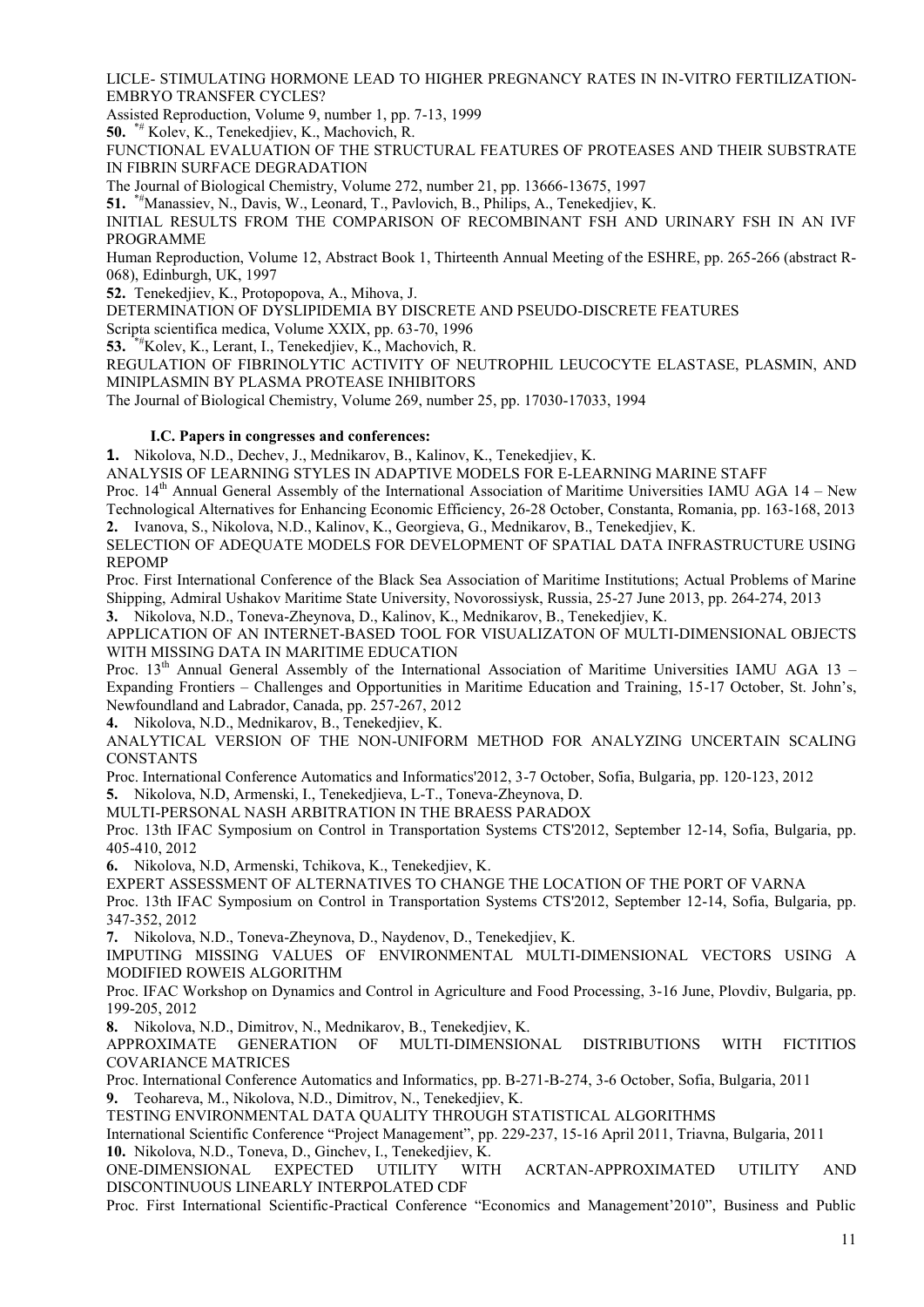LICLE- STIMULATING HORMONE LEAD TO HIGHER PREGNANCY RATES IN IN-VITRO FERTILIZATION- EMBRYO TRANSFER CYCLES?

Assisted Reproduction, Volume 9, number 1, pp. 7-13, 1999

**50.** \*# Kolev, K., Tenekedjiev, K., Machovich, R.

FUNCTIONAL EVALUATION OF THE STRUCTURAL FEATURES OF PROTEASES AND THEIR SUBSTRATE IN FIBRIN SURFACE DEGRADATION

The Journal of Biological Chemistry, Volume 272, number 21, pp. 13666-13675, 1997

**51.** \*#Manassiev, N., Davis, W., Leonard, T., Pavlovich, B., Philips, A., Tenekedjiev, K.

INITIAL RESULTS FROM THE COMPARISON OF RECOMBINANT FSH AND URINARY FSH IN AN IVF PROGRAMME

Human Reproduction, Volume 12, Abstract Book 1, Thirteenth Annual Meeting of the ESHRE, pp. 265-266 (abstract R- 068), Edinburgh, UK, 1997

**52.** Tenekedjiev, K., Protopopova, A., Mihova, J.

DETERMINATION OF DYSLIPIDEMIA BY DISCRETE AND PSEUDO-DISCRETE FEATURES

Scripta scientifica medica, Volume XXIX, pp. 63-70, 1996

**53.** \*#Kolev, K., Lerant, I., Tenekedjiev, K., Machovich, R.

REGULATION OF FIBRINOLYTIC ACTIVITY OF NEUTROPHIL LEUCOCYTE ELASTASE, PLASMIN, AND MINIPLASMIN BY PLASMA PROTEASE INHIBITORS

The Journal of Biological Chemistry, Volume 269, number 25, pp. 17030-17033, 1994

#### **I.C. Papers in congresses and conferences:**

**1.** Nikolova, N.D., Dechev, J., Mednikarov, B., Kalinov, K., Tenekedjiev, K.

ANALYSIS OF LEARNING STYLES IN ADAPTIVE MODELS FOR E-LEARNING MARINE STAFF

Proc. 14<sup>th</sup> Annual General Assembly of the International Association of Maritime Universities IAMU AGA 14 – New Technological Alternatives for Enhancing Economic Efficiency, 26-28 October, Constanta, Romania, pp. 163-168, 2013 **2.** Ivanova, S., Nikolova, N.D., Kalinov, K., Georgieva, G., Mednikarov, B., Tenekedjiev, K.

SELECTION OF ADEQUATE MODELS FOR DEVELOPMENT OF SPATIAL DATA INFRASTRUCTURE USING REPOMP

Proc. First International Conference of the Black Sea Association of Maritime Institutions; Actual Problems of Marine Shipping, Admiral Ushakov Maritime State University, Novorossiysk, Russia, 25-27 June 2013, pp. 264-274, 2013

**3.** Nikolova, N.D., Toneva-Zheynova, D., Kalinov, K., Mednikarov, B., Tenekedjiev, K.

APPLICATION OF AN INTERNET-BASED TOOL FOR VISUALIZATON OF MULTI-DIMENSIONAL OBJECTS WITH MISSING DATA IN MARITIME EDUCATION

Proc. 13<sup>th</sup> Annual General Assembly of the International Association of Maritime Universities IAMU AGA 13 – Expanding Frontiers – Challenges and Opportunities in Maritime Education and Training, 15-17 October, St. John's, Newfoundland and Labrador, Canada, pp. 257-267, 2012

**4.** Nikolova, N.D., Mednikarov, B., Tenekedjiev, K.

ANALYTICAL VERSION OF THE NON-UNIFORM METHOD FOR ANALYZING UNCERTAIN SCALING **CONSTANTS** 

Proc. International Conference Automatics and Informatics'2012, 3-7 October, Sofia, Bulgaria, pp. 120-123, 2012

**5.** Nikolova, N.D, Armenski, I., Tenekedjieva, L-T., Toneva-Zheynova, D.

MULTI-PERSONAL NASH ARBITRATION IN THE BRAESS PARADOX

Proc. 13th IFAC Symposium on Control in Transportation Systems CTS'2012, September 12-14, Sofia, Bulgaria, pp. 405-410, 2012

**6.** Nikolova, N.D, Armenski, Tchikova, K., Tenekedjiev, K.

EXPERT ASSESSMENT OF ALTERNATIVES TO CHANGE THE LOCATION OF THE PORT OF VARNA

Proc. 13th IFAC Symposium on Control in Transportation Systems CTS'2012, September 12-14, Sofia, Bulgaria, pp. 347-352, 2012

**7.** Nikolova, N.D., Toneva-Zheynova, D., Naydenov, D., Tenekedjiev, K.

IMPUTING MISSING VALUES OF ENVIRONMENTAL MULTI-DIMENSIONAL VECTORS USING A MODIFIED ROWEIS ALGORITHM

Proc. IFAC Workshop on Dynamics and Control in Agriculture and Food Processing, 3-16 June, Plovdiv, Bulgaria, pp. 199-205, 2012

**8.** Nikolova, N.D., Dimitrov, N., Мednikarov, B., Tenekedjiev, K.

APPROXIMATE GENERATION OF MULTI-DIMENSIONAL DISTRIBUTIONS WITH FICTITIOS COVARIANCE MATRICES

Proc. International Conference Automatics and Informatics, pp. B-271-B-274, 3-6 October, Sofia, Bulgaria, 2011 **9.** Teohareva, M., Nikolova, N.D., Dimitrov, N., Tenekedjiev, K.

TESTING ENVIRONMENTAL DATA QUALITY THROUGH STATISTICAL ALGORITHMS

International Scientific Conference "Project Management", pp. 229-237, 15-16 April 2011, Triavna, Bulgaria, 2011 **10.** Nikolova, N.D., Toneva, D., Ginchev, I., Tenekedjiev, K.

WITH ACRTAN-APPROXIMATED UTILITY AND DISCONTINUOUS LINEARLY INTERPOLATED CDF

Proc. First International Scientific-Practical Conference "Economics and Management'2010", Business and Public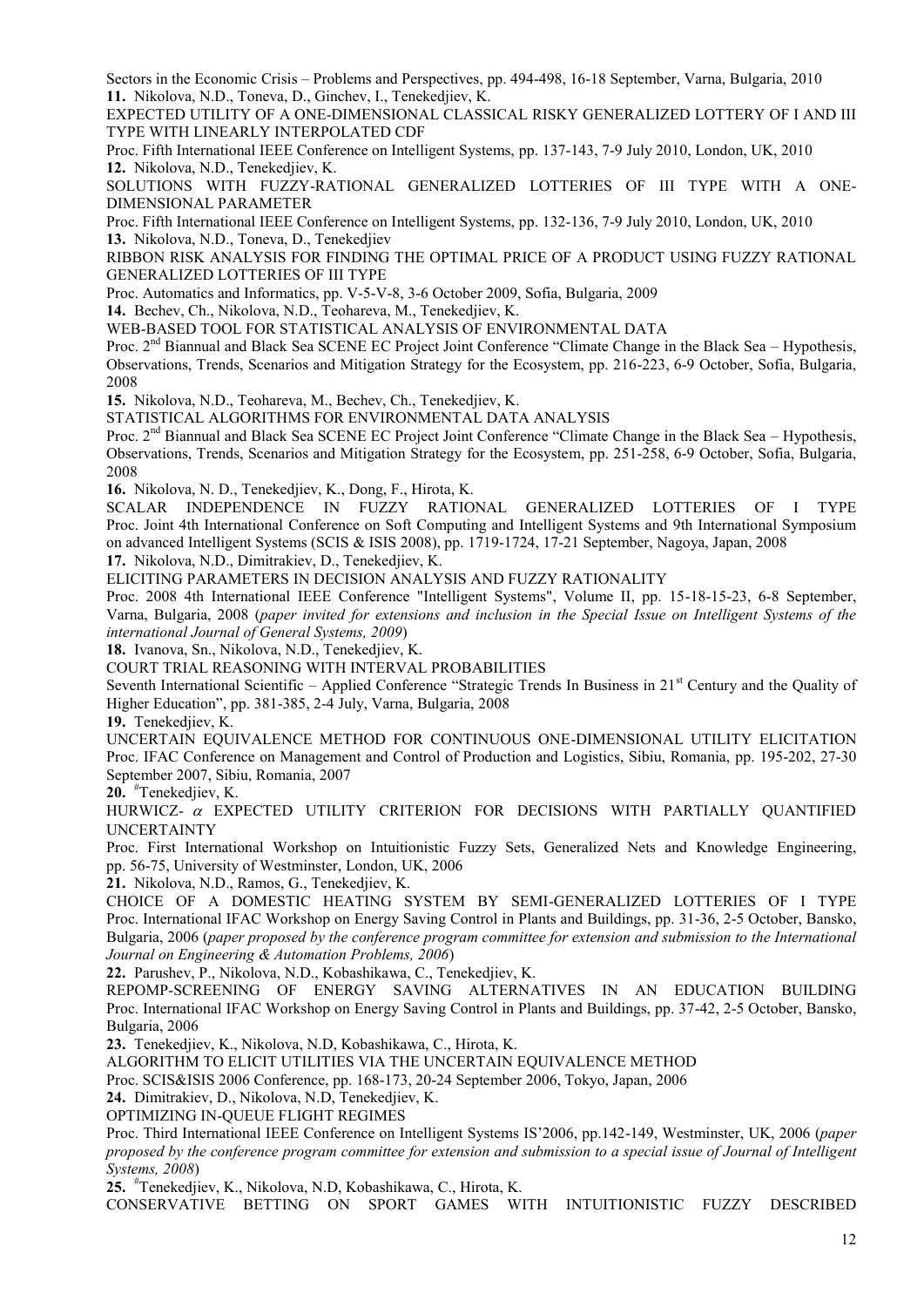Sectors in the Economic Crisis – Problems and Perspectives, pp. 494-498, 16-18 September, Varna, Bulgaria, 2010 **11.** Nikolova, N.D., Toneva, D., Ginchev, I., Tenekedjiev, K.

EXPECTED UTILITY OF A ONE-DIMENSIONAL CLASSICAL RISKY GENERALIZED LOTTERY OF I AND III TYPE WITH LINEARLY INTERPOLATED CDF

Proc. Fifth International IEEE Conference on Intelligent Systems, pp. 137-143, 7-9 July 2010, London, UK, 2010 **12.** Nikolova, N.D., Tenekedjiev, K.

SOLUTIONS WITH FUZZY-RATIONAL GENERALIZED LOTTERIES OF III TYPE WITH A ONE- DIMENSIONAL PARAMETER

Proc. Fifth International IEEE Conference on Intelligent Systems, pp. 132-136, 7-9 July 2010, London, UK, 2010 **13.** Nikolova, N.D., Toneva, D., Tenekedjiev

RIBBON RISK ANALYSIS FOR FINDING THE OPTIMAL PRICE OF A PRODUCT USING FUZZY RATIONAL GENERALIZED LOTTERIES OF III TYPE

Proc. Automatics and Informatics, pp. V-5-V-8, 3-6 October 2009, Sofia, Bulgaria, 2009

**14.** Bechev, Ch., Nikolova, N.D., Teohareva, M., Tenekedjiev, K.

WEB-BASED TOOL FOR STATISTICAL ANALYSIS OF ENVIRONMENTAL DATA

Proc. 2<sup>nd</sup> Biannual and Black Sea SCENE EC Project Joint Conference "Climate Change in the Black Sea – Hypothesis, Observations, Trends, Scenarios and Mitigation Strategy for the Ecosystem, pp. 216-223, 6-9 October, Sofia, Bulgaria, 2008

**15.** Nikolova, N.D., Teohareva, M., Bechev, Ch., Tenekedjiev, K.

STATISTICAL ALGORITHMS FOR ENVIRONMENTAL DATA ANALYSIS

Proc. 2<sup>nd</sup> Biannual and Black Sea SCENE EC Project Joint Conference "Climate Change in the Black Sea – Hypothesis, Observations, Trends, Scenarios and Mitigation Strategy for the Ecosystem, pp. 251-258, 6-9 October, Sofia, Bulgaria, 2008

**16.** Nikolova, N. D., Tenekedjiev, K., Dong, F., Hirota, K.

SCALAR INDEPENDENCE IN FUZZY RATIONAL GENERALIZED LOTTERIES OF I TYPE Proc. Joint 4th International Conference on Soft Computing and Intelligent Systems and 9th International Symposium on advanced Intelligent Systems (SCIS & ISIS 2008), pp. 1719-1724, 17-21 September, Nagoya, Japan, 2008

**17.** Nikolova, N.D., Dimitrakiev, D., Tenekedjiev, K.

ELICITING PARAMETERS IN DECISION ANALYSIS AND FUZZY RATIONALITY

Proc. 2008 4th International IEEE Conference "Intelligent Systems", Volume II, pp. 15-18-15-23, 6-8 September, Varna, Bulgaria, 2008 (*paper invited for extensions and inclusion in the Special Issue on Intelligent Systems of the international Journal of General Systems, 2009*)

**18.** Ivanova, Sn., Nikolova, N.D., Tenekedjiev, K.

COURT TRIAL REASONING WITH INTERVAL PROBABILITIES

Seventh International Scientific – Applied Conference "Strategic Trends In Business in  $21<sup>st</sup>$  Century and the Quality of Higher Education", pp. 381-385, 2-4 July, Varna, Bulgaria, 2008

**19.** Tenekedjiev, K.

UNCERTAIN EQUIVALENCE METHOD FOR CONTINUOUS ONE-DIMENSIONAL UTILITY ELICITATION Proc. IFAC Conference on Management and Control of Production and Logistics, Sibiu, Romania, pp. 195-202, 27-30 September 2007, Sibiu, Romania, 2007

**20.** #Tenekedjiev, K.

HURWICZ-  $\alpha$  EXPECTED UTILITY CRITERION FOR DECISIONS WITH PARTIALLY OUANTIFIED UNCERTAINTY

Proc. First International Workshop on Intuitionistic Fuzzy Sets, Generalized Nets and Knowledge Engineering, pp. 56-75, University of Westminster, London, UK, 2006

**21.** Nikolova, N.D., Ramos, G., Tenekedjiev, K.

CHOICE OF A DOMESTIC HEATING SYSTEM BY SEMI-GENERALIZED LOTTERIES OF I TYPE Proc. International IFAC Workshop on Energy Saving Control in Plants and Buildings, pp. 31-36, 2-5 October, Bansko, Bulgaria, 2006 (*paper proposed by the conference program committee for extension and submission to the International Journal on Engineering & Automation Problems, 2006*)

**22.** Parushev, P., Nikolova, N.D., Kobashikawa, C., Tenekedjiev, K.

REPOMP-SCREENING OF ENERGY SAVING ALTERNATIVES IN AN EDUCATION BUILDING Proc. International IFAC Workshop on Energy Saving Control in Plants and Buildings, pp. 37-42, 2-5 October, Bansko, Bulgaria, 2006

**23.** Tenekedjiev, K., Nikolova, N.D, Kobashikawa, C., Hirota, K.

ALGORITHM TO ELICIT UTILITIES VIA THE UNCERTAIN EQUIVALENCE METHOD

Proc. SCIS&ISIS 2006 Conference, pp. 168-173, 20-24 September 2006, Tokyo, Japan, 2006

**24.** Dimitrakiev, D., Nikolova, N.D, Tenekedjiev, K.

OPTIMIZING IN-QUEUE FLIGHT REGIMES

Proc. Third International IEEE Conference on Intelligent Systems IS'2006, pp.142-149, Westminster, UK, 2006 (*paper proposed by the conference program committee for extension and submission to a special issue of Journal of Intelligent Systems, 2008*)

**25.** #Tenekedjiev, K., Nikolova, N.D, Kobashikawa, C., Hirota, K.

CONSERVATIVE BETTING ON SPORT GAMES WITH INTUITIONISTIC FUZZY DESCRIBED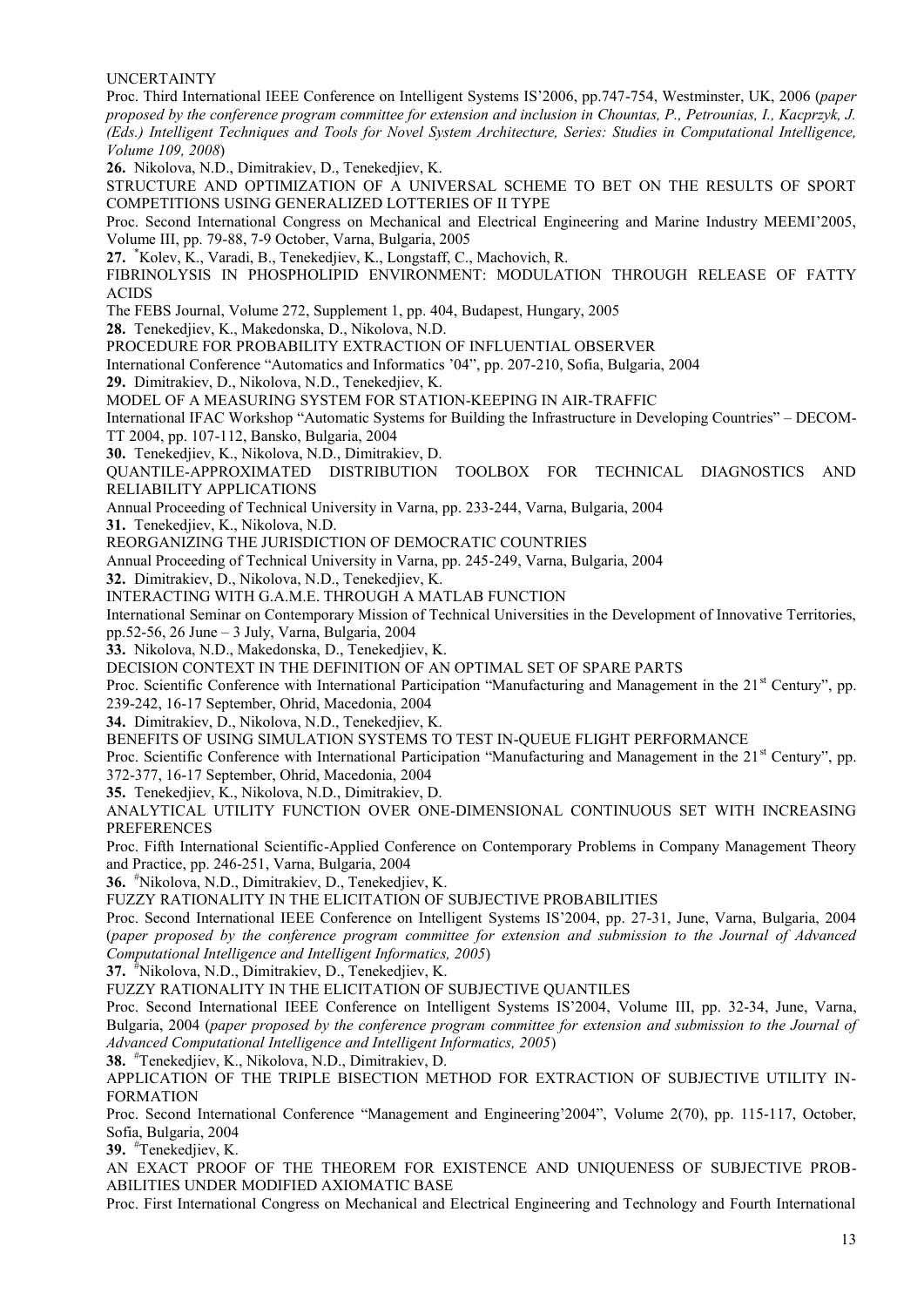UNCERTAINTY Proc. Third International IEEE Conference on Intelligent Systems IS'2006, pp.747-754, Westminster, UK, 2006 (*paper proposed by the conference program committee for extension and inclusion in Chountas, P., Petrounias, I., Kacprzyk, J. (Eds.) Intelligent Techniques and Tools for Novel System Architecture, Series: Studies in Computational Intelligence, Volume 109, 2008*) **26.** Nikolova, N.D., Dimitrakiev, D., Tenekedjiev, K. STRUCTURE AND OPTIMIZATION OF A UNIVERSAL SCHEME TO BET ON THE RESULTS OF SPORT COMPETITIONS USING GENERALIZED LOTTERIES OF II TYPE Proc. Second International Congress on Mechanical and Electrical Engineering and Marine Industry MEEMI'2005, Volume III, pp. 79-88, 7-9 October, Varna, Bulgaria, 2005 **27.** \*Kolev, K., Varadi, B., Tenekedjiev, K., Longstaff, C., Machovich, R. FIBRINOLYSIS IN PHOSPHOLIPID ENVIRONMENT: MODULATION THROUGH RELEASE OF FATTY ACIDS The FEBS Journal, Volume 272, Supplement 1, pp. 404, Budapest, Hungary, 2005 **28.** Tenekedjiev, K., Makedonska, D., Nikolova, N.D. PROCEDURE FOR PROBABILITY EXTRACTION OF INFLUENTIAL OBSERVER International Conference "Automatics and Informatics '04", pp. 207-210, Sofia, Bulgaria, 2004 **29.** Dimitrakiev, D., Nikolova, N.D., Tenekedjiev, K. MODEL OF A MEASURING SYSTEM FOR STATION-KEEPING IN AIR-TRAFFIC International IFAC Workshop "Automatic Systems for Building the Infrastructure in Developing Countries" – DECOM- TT 2004, pp. 107-112, Bansko, Bulgaria, 2004 **30.** Tenekedjiev, K., Nikolova, N.D., Dimitrakiev, D. QUANTILE-APPROXIMATED DISTRIBUTION TOOLBOX FOR TECHNICAL DIAGNOSTICS AND RELIABILITY APPLICATIONS Annual Proceeding of Technical University in Varna, pp. 233-244, Varna, Bulgaria, 2004 **31.** Tenekedjiev, K., Nikolova, N.D. REORGANIZING THE JURISDICTION OF DEMOCRATIC COUNTRIES Annual Proceeding of Technical University in Varna, pp. 245-249, Varna, Bulgaria, 2004 **32.** Dimitrakiev, D., Nikolova, N.D., Tenekedjiev, K. INTERACTING WITH G.A.M.E. THROUGH A MATLAB FUNCTION International Seminar on Contemporary Mission of Technical Universities in the Development of Innovative Territories, pp.52-56, 26 June – 3 July, Varna, Bulgaria, 2004 **33.** Nikolova, N.D., Makedonska, D., Tenekedjiev, K. DECISION CONTEXT IN THE DEFINITION OF AN OPTIMAL SET OF SPARE PARTS Proc. Scientific Conference with International Participation "Manufacturing and Management in the 21<sup>st</sup> Century", pp. 239-242, 16-17 September, Ohrid, Macedonia, 2004 **34.** Dimitrakiev, D., Nikolova, N.D., Tenekedjiev, K. BENEFITS OF USING SIMULATION SYSTEMS TO TEST IN-QUEUE FLIGHT PERFORMANCE Proc. Scientific Conference with International Participation "Manufacturing and Management in the  $21<sup>st</sup>$  Century", pp. 372-377, 16-17 September, Ohrid, Macedonia, 2004 **35.** Tenekedjiev, K., Nikolova, N.D., Dimitrakiev, D. ANALYTICAL UTILITY FUNCTION OVER ONE-DIMENSIONAL CONTINUOUS SET WITH INCREASING **PREFERENCES** Proc. Fifth International Scientific-Applied Conference on Contemporary Problems in Company Management Theory and Practice, pp. 246-251, Varna, Bulgaria, 2004 **36.** #Nikolova, N.D., Dimitrakiev, D., Tenekedjiev, K.

FUZZY RATIONALITY IN THE ELICITATION OF SUBJECTIVE PROBABILITIES

Proc. Second International IEEE Conference on Intelligent Systems IS'2004, pp. 27-31, June, Varna, Bulgaria, 2004 (*paper proposed by the conference program committee for extension and submission to the Journal of Advanced Computational Intelligence and Intelligent Informatics, 2005*)

**37.** #Nikolova, N.D., Dimitrakiev, D., Tenekedjiev, K.

FUZZY RATIONALITY IN THE ELICITATION OF SUBJECTIVE QUANTILES

Proc. Second International IEEE Conference on Intelligent Systems IS'2004, Volume III, pp. 32-34, June, Varna, Bulgaria, 2004 (*paper proposed by the conference program committee for extension and submission to the Journal of Advanced Computational Intelligence and Intelligent Informatics, 2005*)

**38.** #Tenekedjiev, K., Nikolova, N.D., Dimitrakiev, D.

APPLICATION OF THE TRIPLE BISECTION METHOD FOR EXTRACTION OF SUBJECTIVE UTILITY IN- FORMATION

Proc. Second International Conference "Management and Engineering'2004", Volume 2(70), pp. 115-117, October, Sofia, Bulgaria, 2004

**39.** #Tenekedjiev, K.

AN EXACT PROOF OF THE THEOREM FOR EXISTENCE AND UNIQUENESS OF SUBJECTIVE PROB- ABILITIES UNDER MODIFIED AXIOMATIC BASE

Proc. First International Congress on Mechanical and Electrical Engineering and Technology and Fourth International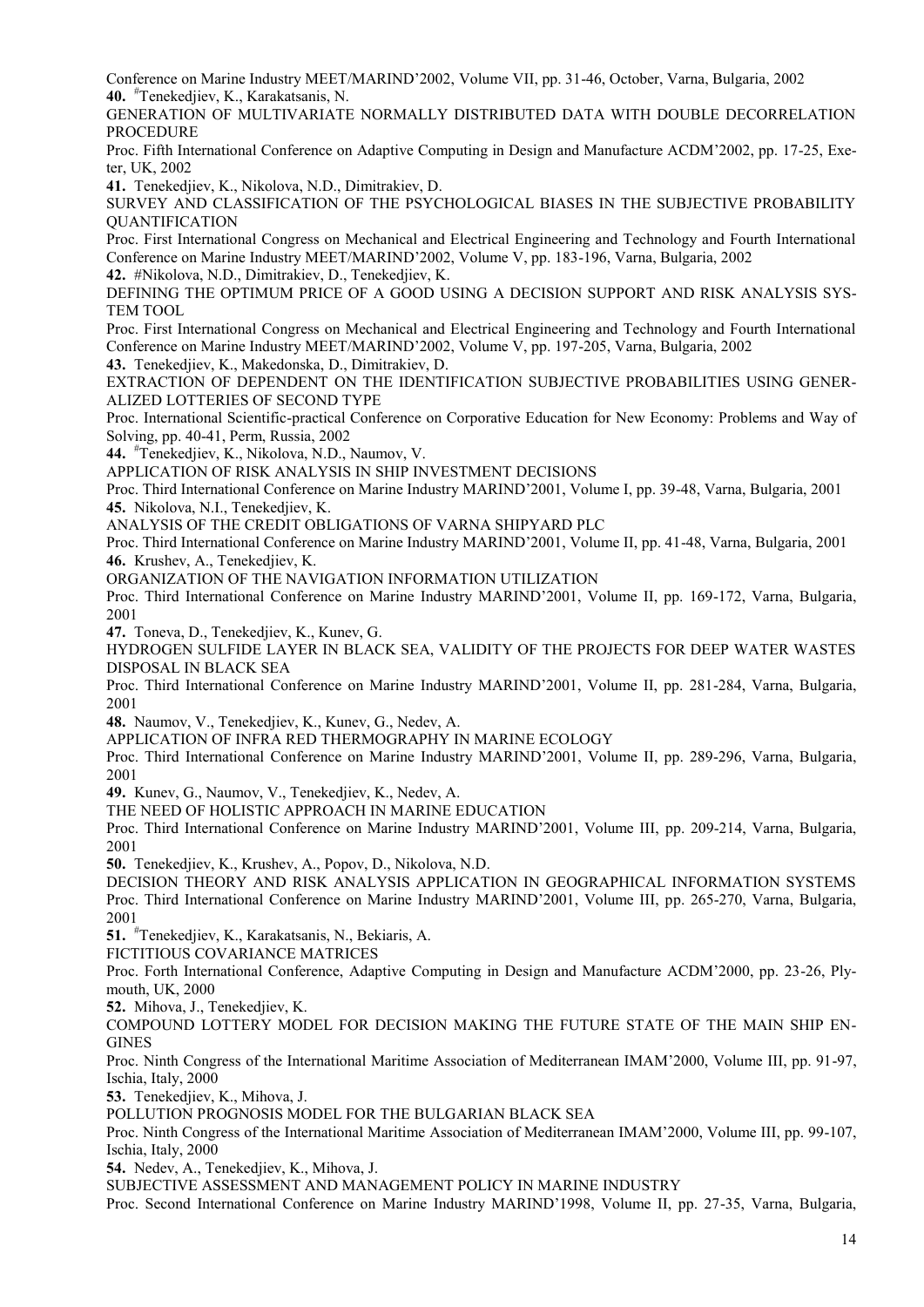Conference on Marine Industry MEET/MARIND'2002, Volume VII, pp. 31-46, October, Varna, Bulgaria, 2002 **40.** #Tenekedjiev, K., Karakatsanis, N.

GENERATION OF MULTIVARIATE NORMALLY DISTRIBUTED DATA WITH DOUBLE DECORRELATION **PROCEDURE** 

Proc. Fifth International Conference on Adaptive Computing in Design and Manufacture ACDM'2002, pp. 17-25, Exeter, UK, 2002

**41.** Tenekedjiev, K., Nikolova, N.D., Dimitrakiev, D.

SURVEY AND CLASSIFICATION OF THE PSYCHOLOGICAL BIASES IN THE SUBJECTIVE PROBABILITY QUANTIFICATION

Proc. First International Congress on Mechanical and Electrical Engineering and Technology and Fourth International Conference on Marine Industry MEET/MARIND'2002, Volume V, pp. 183-196, Varna, Bulgaria, 2002

**42.** #Nikolova, N.D., Dimitrakiev, D., Tenekedjiev, K.

DEFINING THE OPTIMUM PRICE OF A GOOD USING A DECISION SUPPORT AND RISK ANALYSIS SYS- TEM TOOL

Proc. First International Congress on Mechanical and Electrical Engineering and Technology and Fourth International Conference on Marine Industry MEET/MARIND'2002, Volume V, pp. 197-205, Varna, Bulgaria, 2002

**43.** Tenekedjiev, K., Makedonska, D., Dimitrakiev, D.

EXTRACTION OF DEPENDENT ON THE IDENTIFICATION SUBJECTIVE PROBABILITIES USING GENER- ALIZED LOTTERIES OF SECOND TYPE

Proc. International Scientific-practical Conference on Corporative Education for New Economy: Problems and Way of Solving, pp. 40-41, Perm, Russia, 2002

**44.** #Tenekedjiev, K., Nikolova, N.D., Naumov, V.

APPLICATION OF RISK ANALYSIS IN SHIP INVESTMENT DECISIONS

Proc. Third International Conference on Marine Industry MARIND'2001, Volume I, pp. 39-48, Varna, Bulgaria, 2001 **45.** Nikolova, N.I., Tenekedjiev, K.

ANALYSIS OF THE CREDIT OBLIGATIONS OF VARNA SHIPYARD PLC

Proc. Third International Conference on Marine Industry MARIND'2001, Volume II, pp. 41-48, Varna, Bulgaria, 2001 **46.** Krushev, A., Tenekedjiev, K.

ORGANIZATION OF THE NAVIGATION INFORMATION UTILIZATION

Proc. Third International Conference on Marine Industry MARIND'2001, Volume II, pp. 169-172, Varna, Bulgaria, 2001

**47.** Toneva, D., Tenekedjiev, K., Kunev, G.

HYDROGEN SULFIDE LAYER IN BLACK SEA, VALIDITY OF THE PROJECTS FOR DEEP WATER WASTES DISPOSAL IN BLACK SEA

Proc. Third International Conference on Marine Industry MARIND'2001, Volume II, pp. 281-284, Varna, Bulgaria, 2001

**48.** Naumov, V., Tenekedjiev, K., Kunev, G., Nedev, A.

APPLICATION OF INFRA RED THERMOGRAPHY IN MARINE ECOLOGY

Proc. Third International Conference on Marine Industry MARIND'2001, Volume II, pp. 289-296, Varna, Bulgaria, 2001

**49.** Kunev, G., Naumov, V., Tenekedjiev, K., Nedev, A.

THE NEED OF HOLISTIC APPROACH IN MARINE EDUCATION

Proc. Third International Conference on Marine Industry MARIND'2001, Volume III, pp. 209-214, Varna, Bulgaria, 2001

**50.** Tenekedjiev, K., Krushev, A., Popov, D., Nikolova, N.D.

DECISION THEORY AND RISK ANALYSIS APPLICATION IN GEOGRAPHICAL INFORMATION SYSTEMS Proc. Third International Conference on Marine Industry MARIND'2001, Volume III, pp. 265-270, Varna, Bulgaria, 2001

**51.** #Tenekedjiev, K., Karakatsanis, N., Bekiaris, A.

FICTITIOUS COVARIANCE MATRICES

Proc. Forth International Conference, Adaptive Computing in Design and Manufacture ACDM'2000, pp. 23-26, Ply mouth, UK, 2000

**52.** Mihova, J., Tenekedjiev, K.

COMPOUND LOTTERY MODEL FOR DECISION MAKING THE FUTURE STATE OF THE MAIN SHIP EN- **GINES** 

Proc. Ninth Congress of the International Maritime Association of Mediterranean IMAM'2000, Volume III, pp. 91-97, Ischia, Italy, 2000

**53.** Tenekedjiev, K., Mihova, J.

POLLUTION PROGNOSIS MODEL FOR THE BULGARIAN BLACK SEA

Proc. Ninth Congress of the International Maritime Association of Mediterranean IMAM'2000, Volume III, pp. 99-107, Ischia, Italy, 2000

**54.** Nedev, A., Tenekedjiev, K., Mihova, J.

SUBJECTIVE ASSESSMENT AND MANAGEMENT POLICY IN MARINE INDUSTRY

Proc. Second International Conference on Marine Industry MARIND'1998, Volume II, pp. 27-35, Varna, Bulgaria,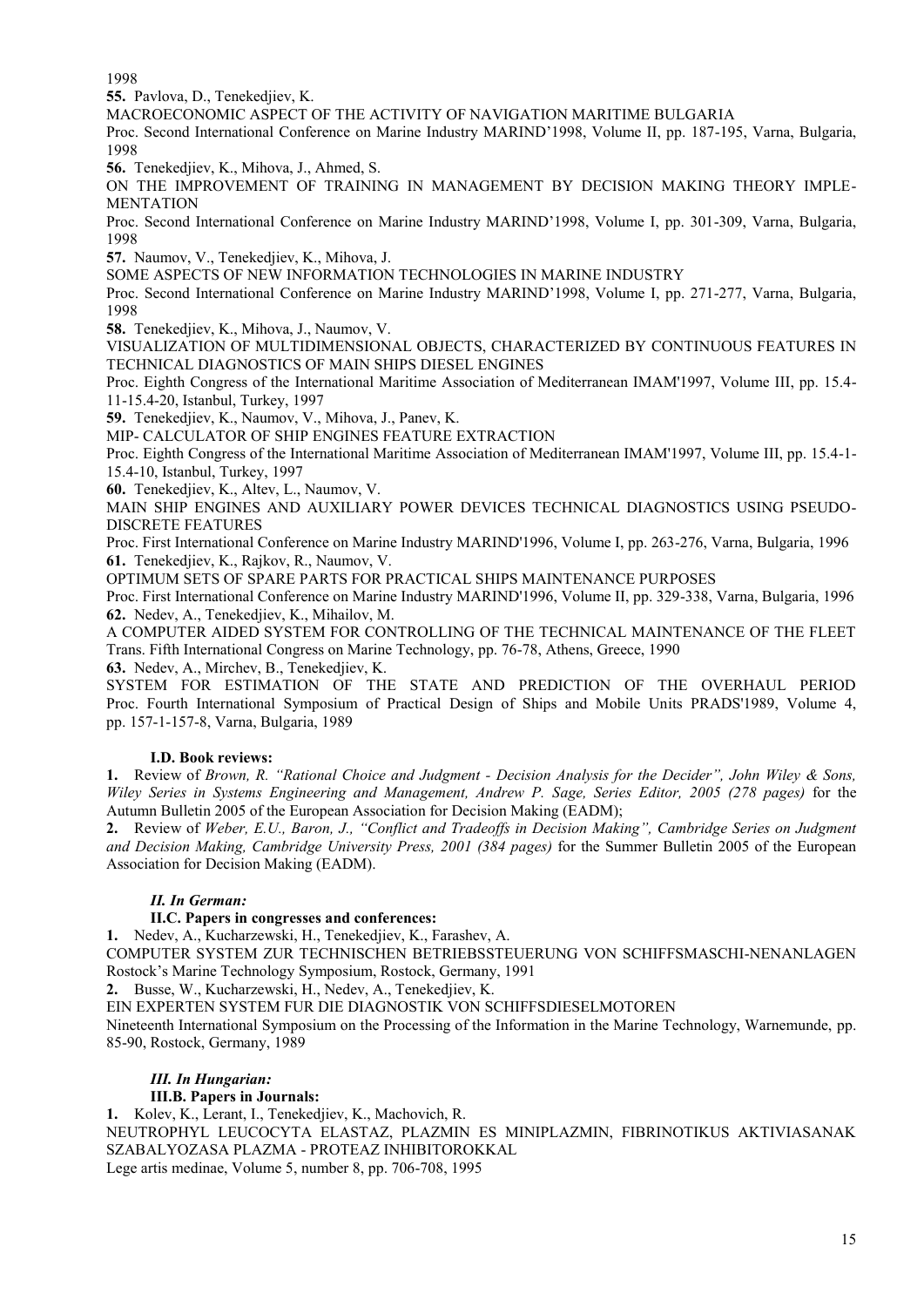1998

**55.** Pavlova, D., Tenekedjiev, K.

MACROECONOMIC ASPECT OF THE ACTIVITY OF NAVIGATION MARITIME BULGARIA

Proc. Second International Conference on Marine Industry MARIND'1998, Volume II, pp. 187-195, Varna, Bulgaria, 1998

**56.** Tenekedjiev, K., Mihova, J., Ahmed, S.

ON THE IMPROVEMENT OF TRAINING IN MANAGEMENT BY DECISION MAKING THEORY IMPLE- MENTATION

Proc. Second International Conference on Marine Industry MARIND'1998, Volume I, pp. 301-309, Varna, Bulgaria, 1998

**57.** Naumov, V., Tenekedjiev, K., Mihova, J.

SOME ASPECTS OF NEW INFORMATION TECHNOLOGIES IN MARINE INDUSTRY

Proc. Second International Conference on Marine Industry MARIND'1998, Volume I, pp. 271-277, Varna, Bulgaria, 1998

**58.** Tenekedjiev, K., Mihova, J., Naumov, V.

VISUALIZATION OF MULTIDIMENSIONAL OBJECTS, CHARACTERIZED BY CONTINUOUS FEATURES IN TECHNICAL DIAGNOSTICS OF MAIN SHIPS DIESEL ENGINES

Proc. Eighth Congress of the International Maritime Association of Mediterranean IMAM'1997, Volume III, pp. 15.4- 11-15.4-20, Istanbul, Turkey, 1997

**59.** Tenekedjiev, K., Naumov, V., Mihova, J., Panev, K.

MIP- CALCULATOR OF SHIP ENGINES FEATURE EXTRACTION

Proc. Eighth Congress of the International Maritime Association of Mediterranean IMAM'1997, Volume III, pp. 15.4-1- 15.4-10, Istanbul, Turkey, 1997

**60.** Tenekedjiev, K., Altev, L., Naumov, V.

MAIN SHIP ENGINES AND AUXILIARY POWER DEVICES TECHNICAL DIAGNOSTICS USING PSEUDO- DISCRETE FEATURES

Proc. First International Conference on Marine Industry MARIND'1996, Volume I, pp. 263-276, Varna, Bulgaria, 1996 **61.** Tenekedjiev, K., Rajkov, R., Naumov, V.

OPTIMUM SETS OF SPARE PARTS FOR PRACTICAL SHIPS MAINTENANCE PURPOSES

Proc. First International Conference on Marine Industry MARIND'1996, Volume II, pp. 329-338, Varna, Bulgaria, 1996 **62.** Nedev, A., Tenekedjiev, K., Mihailov, M.

A COMPUTER AIDED SYSTEM FOR CONTROLLING OF THE TECHNICAL MAINTENANCE OF THE FLEET Trans. Fifth International Congress on Marine Technology, pp. 76-78, Athens, Greece, 1990

**63.** Nedev, A., Mirchev, B., Tenekedjiev, K.

SYSTEM FOR ESTIMATION OF THE STATE AND PREDICTION OF THE OVERHAUL PERIOD Proc. Fourth International Symposium of Practical Design of Ships and Mobile Units PRADS'1989, Volume 4, pp. 157-1-157-8, Varna, Bulgaria, 1989

#### **I.D. Book reviews:**

**1.** Review of *Brown, R. "Rational Choice and Judgment - Decision Analysis for the Decider", John Wiley & Sons, Wiley Series in Systems Engineering and Management, Andrew P. Sage, Series Editor, 2005 (278 pages)* for the Autumn Bulletin 2005 of the European Association for Decision Making (EADM);

**2.** Review of *Weber, E.U., Baron, J., "Conflict and Tradeoffs in Decision Making", Cambridge Series on Judgment and Decision Making, Cambridge University Press, 2001 (384 pages)* for the Summer Bulletin 2005 of the European Association for Decision Making (EADM).

## *II. In German:*

#### **II.C. Papers in congresses and conferences:**

**1.** Nedev, A., Kucharzewski, H., Tenekedjiev, K., Farashev, A.

COMPUTER SYSTEM ZUR TECHNISCHEN BETRIEBSSTEUERUNG VON SCHIFFSMASCHI-NENANLAGEN Rostock's Marine Technology Symposium, Rostock, Germany, 1991

**2.** Busse, W., Kucharzewski, H., Nedev, A., Tenekedjiev, K.

EIN EXPERTEN SYSTEM FUR DIE DIAGNOSTIK VON SCHIFFSDIESELMOTOREN

Nineteenth International Symposium on the Processing of the Information in the Marine Technology, Warnemunde, pp. 85-90, Rostock, Germany, 1989

## *III. In Hungarian:*

#### **III.B. Papers in Journals:**

**1.** Kolev, K., Lerant, I., Tenekedjiev, K., Machovich, R.

NEUTROPHYL LEUCOCYTA ELASTAZ, PLAZMIN ES MINIPLAZMIN, FIBRINOTIKUS AKTIVIASANAK SZABALYOZASA PLAZMA - PROTEAZ INHIBITOROKKAL

Lege artis medinae, Volume 5, number 8, pp. 706-708, 1995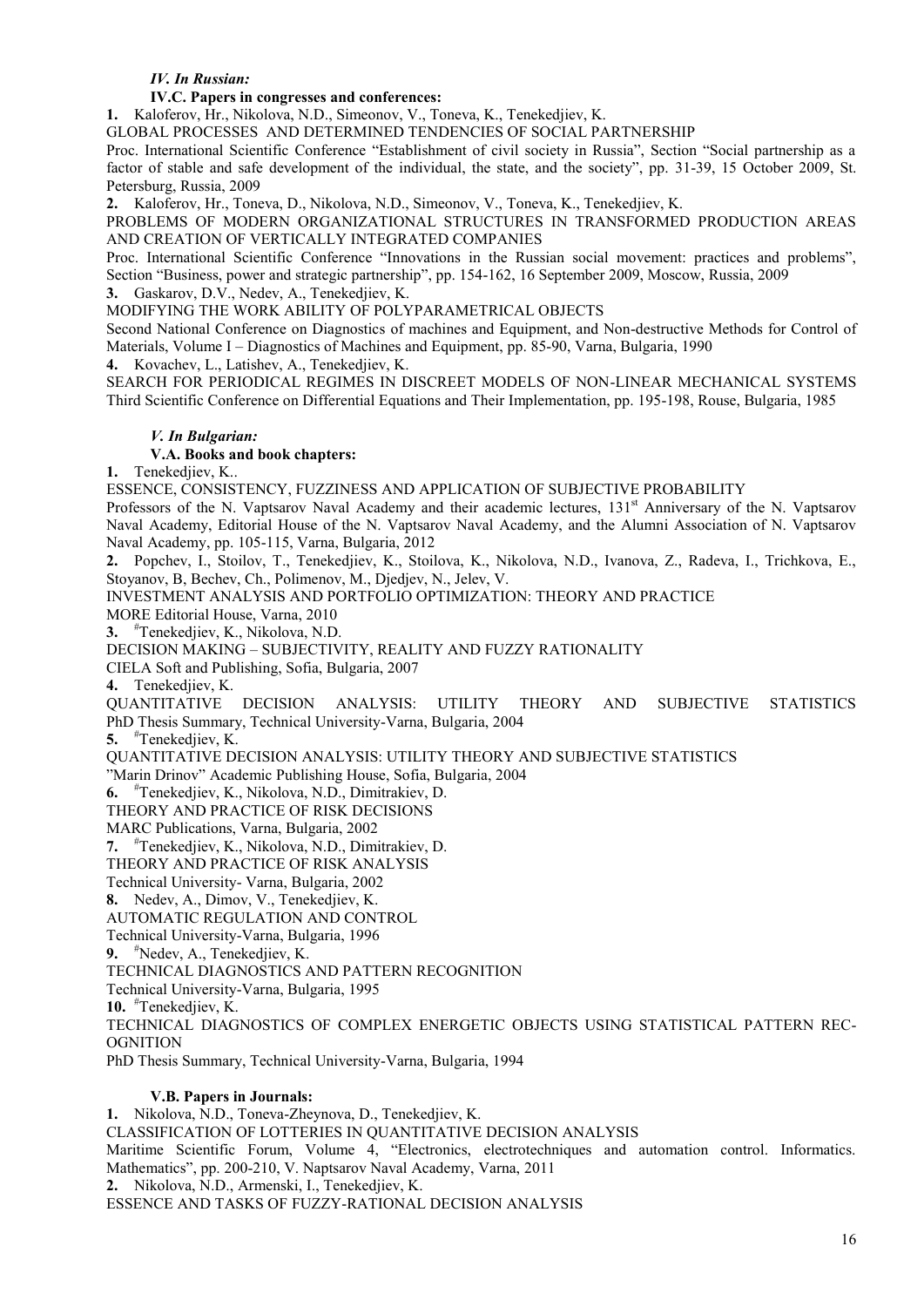#### *IV. In Russian:*

#### **IV.C. Papers in congresses and conferences:**

**1.** Kaloferov, Hr., Nikolova, N.D., Simeonov, V., Toneva, K., Tenekedjiev, K.

GLOBAL PROCESSES AND DETERMINED TENDENCIES OF SOCIAL PARTNERSHIP

Proc. International Scientific Conference "Establishment of civil society in Russia", Section "Social partnership as a factor of stable and safe development of the individual, the state, and the society", pp. 31-39, 15 October 2009, St. Petersburg, Russia, 2009

**2.** Kaloferov, Hr., Toneva, D., Nikolova, N.D., Simeonov, V., Toneva, K., Tenekedjiev, K.

PROBLEMS OF MODERN ORGANIZATIONAL STRUCTURES IN TRANSFORMED PRODUCTION AREAS AND CREATION OF VERTICALLY INTEGRATED COMPANIES

Proc. International Scientific Conference "Innovations in the Russian social movement: practices and problems", Section "Business, power and strategic partnership", pp. 154-162, 16 September 2009, Moscow, Russia, 2009

**3.** Gaskarov, D.V., Nedev, A., Tenekedjiev, K.

MODIFYING THE WORK ABILITY OF POLYPARAMETRICAL OBJECTS

Second National Conference on Diagnostics of machines and Equipment, and Non-destructive Methods for Control of Materials, Volume I – Diagnostics of Machines and Equipment, pp. 85-90, Varna, Bulgaria, 1990

**4.** Kovachev, L., Latishev, A., Tenekedjiev, K.

SEARCH FOR PERIODICAL REGIMES IN DISCREET MODELS OF NON-LINEAR MECHANICAL SYSTEMS Third Scientific Conference on Differential Equations and Their Implementation, pp. 195-198, Rouse, Bulgaria, 1985

#### *V. In Bulgarian:*

#### **V.A. Books and book chapters:**

**1.** Tenekedjiev, K..

ESSENCE, CONSISTENCY, FUZZINESS AND APPLICATION OF SUBJECTIVE PROBABILITY

Professors of the N. Vaptsarov Naval Academy and their academic lectures, 131<sup>st</sup> Anniversary of the N. Vaptsarov Naval Academy, Editorial House of the N. Vaptsarov Naval Academy, and the Alumni Association of N. Vaptsarov Naval Academy, pp. 105-115, Varna, Bulgaria, 2012

**2.** Popchev, I., Stoilov, T., Tenekedjiev, K., Stoilova, K., Nikolova, N.D., Ivanova, Z., Radeva, I., Trichkova, E., Stoyanov, B, Bechev, Ch., Polimenov, M., Djedjev, N., Jelev, V.

INVESTMENT ANALYSIS AND PORTFOLIO OPTIMIZATION: THEORY AND PRACTICE

MORE Editorial House, Varna, 2010

**3.** #Tenekedjiev, K., Nikolova, N.D.

DECISION MAKING – SUBJECTIVITY, REALITY AND FUZZY RATIONALITY

CIELA Soft and Publishing, Sofia, Bulgaria, 2007

**4.** Tenekedjiev, K.

QUANTITATIVE DECISION ANALYSIS: UTILITY THEORY AND SUBJECTIVE STATISTICS PhD Thesis Summary, Technical University-Varna, Bulgaria, 2004

**5.** #Tenekedjiev, K.

QUANTITATIVE DECISION ANALYSIS: UTILITY THEORY AND SUBJECTIVE STATISTICS

"Marin Drinov" Academic Publishing House, Sofia, Bulgaria, 2004

**6.** #Tenekedjiev, K., Nikolova, N.D., Dimitrakiev, D.

THEORY AND PRACTICE OF RISK DECISIONS

MARC Publications, Varna, Bulgaria, 2002

**7.** #Tenekedjiev, K., Nikolova, N.D., Dimitrakiev, D.

THEORY AND PRACTICE OF RISK ANALYSIS

Technical University- Varna, Bulgaria, 2002

**8.** Nedev, A., Dimov, V., Tenekedjiev, K.

AUTOMATIC REGULATION AND CONTROL

Technical University-Varna, Bulgaria, 1996

**9.** #Nedev, A., Tenekedjiev, K.

TECHNICAL DIAGNOSTICS AND PATTERN RECOGNITION

Technical University-Varna, Bulgaria, 1995

**10.** #Tenekedjiev, K.

TECHNICAL DIAGNOSTICS OF COMPLEX ENERGETIC OBJECTS USING STATISTICAL PATTERN REC- **OGNITION** 

PhD Thesis Summary, Technical University-Varna, Bulgaria, 1994

#### **V.B. Papers in Journals:**

**1.** Nikolova, N.D., Toneva-Zheynova, D., Tenekedjiev, K. CLASSIFICATION OF LOTTERIES IN QUANTITATIVE DECISION ANALYSIS Maritime Scientific Forum, Volume 4, "Electronics, electrotechniques and automation control. Informatics. Mathematics", pp. 200-210, V. Naptsarov Naval Academy, Varna, 2011 **2.** Nikolova, N.D., Armenski, I., Tenekedjiev, K. ESSENCE AND TASKS OF FUZZY-RATIONAL DECISION ANALYSIS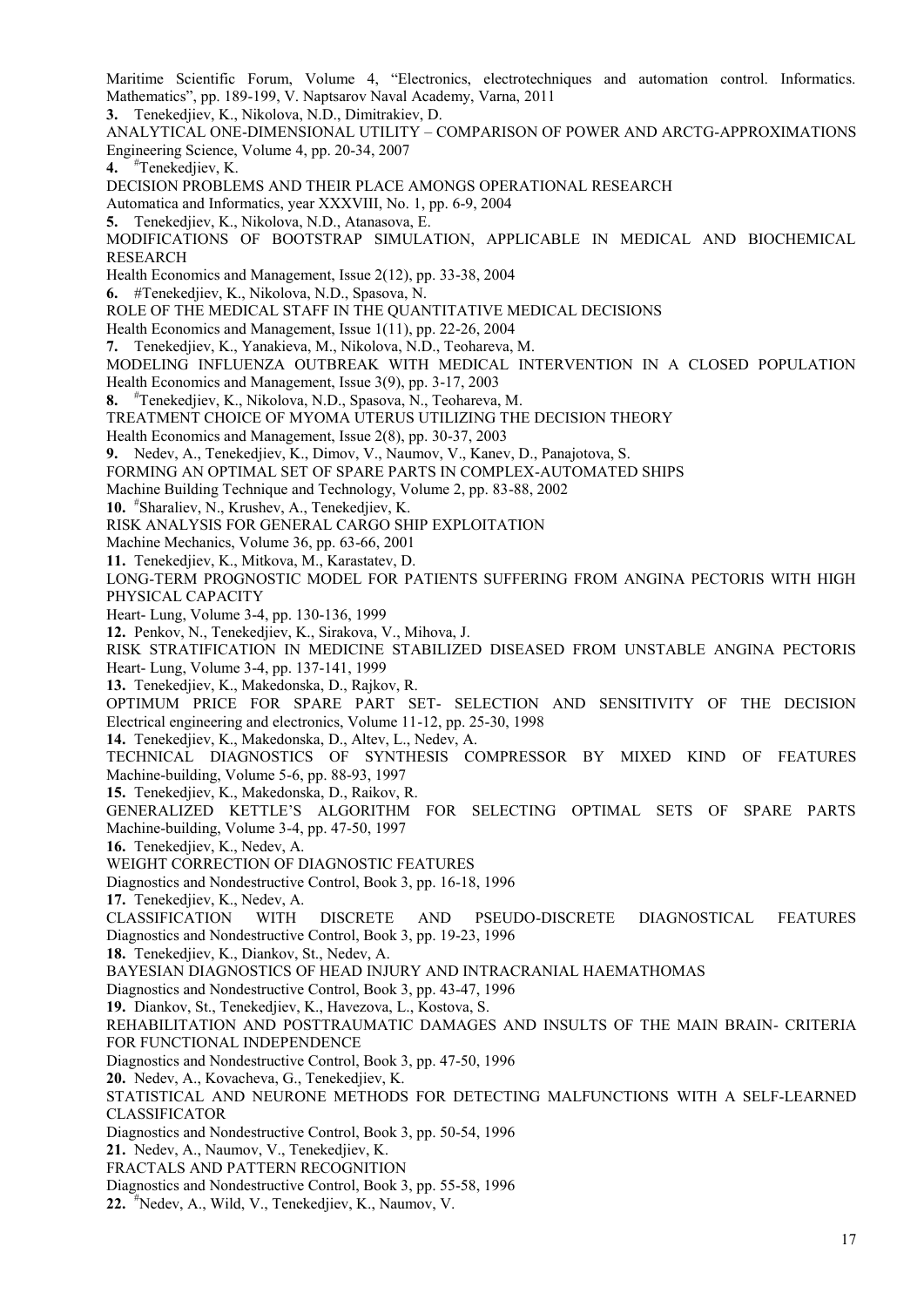Maritime Scientific Forum, Volume 4, "Electronics, electrotechniques and automation control. Informatics. Mathematics", pp. 189-199, V. Naptsarov Naval Academy, Varna, 2011

**3.** Tenekedjiev, K., Nikolova, N.D., Dimitrakiev, D.

ANALYTICAL ONE-DIMENSIONAL UTILITY – COMPARISON OF POWER AND ARCTG-APPROXIMATIONS Engineering Science, Volume 4, pp. 20-34, 2007

**4.** #Tenekedjiev, K.

DECISION PROBLEMS AND THEIR PLACE AMONGS OPERATIONAL RESEARCH

- Automatica and Informatics, year XXXVIII, No. 1, pp. 6-9, 2004
- **5.** Tenekedjiev, K., Nikolova, N.D., Atanasova, E.

MODIFICATIONS OF BOOTSTRAP SIMULATION, APPLICABLE IN MEDICAL AND BIOCHEMICAL RESEARCH

Health Economics and Management, Issue 2(12), pp. 33-38, 2004

**6.** #Tenekedjiev, K., Nikolova, N.D., Spasova, N.

ROLE OF THE MEDICAL STAFF IN THE QUANTITATIVE MEDICAL DECISIONS

Health Economics and Management, Issue 1(11), pp. 22-26, 2004

**7.** Tenekedjiev, K., Yanakieva, M., Nikolova, N.D., Teohareva, M.

MODELING INFLUENZA OUTBREAK WITH MEDICAL INTERVENTION IN A CLOSED POPULATION

Health Economics and Management, Issue 3(9), pp. 3-17, 2003

**8.** #Tenekedjiev, K., Nikolova, N.D., Spasova, N., Teohareva, M.

- TREATMENT CHOICE OF MYOMA UTERUS UTILIZING THE DECISION THEORY
- Health Economics and Management, Issue 2(8), pp. 30-37, 2003

**9.** Nedev, A., Tenekedjiev, K., Dimov, V., Naumov, V., Kanev, D., Panajotova, S.

FORMING AN OPTIMAL SET OF SPARE PARTS IN COMPLEX-AUTOMATED SHIPS

- Machine Building Technique and Technology, Volume 2, pp. 83-88, 2002
- **10.** #Sharaliev, N., Krushev, A., Tenekedjiev, K.
- RISK ANALYSIS FOR GENERAL CARGO SHIP EXPLOITATION
- Machine Mechanics, Volume 36, pp. 63-66, 2001
- **11.** Tenekedjiev, K., Mitkova, M., Karastatev, D.

LONG-TERM PROGNOSTIC MODEL FOR PATIENTS SUFFERING FROM ANGINA PECTORIS WITH HIGH PHYSICAL CAPACITY

Heart- Lung, Volume 3-4, pp. 130-136, 1999

**12.** Penkov, N., Tenekedjiev, K., Sirakova, V., Mihova, J.

RISK STRATIFICATION IN MEDICINE STABILIZED DISEASED FROM UNSTABLE ANGINA PECTORIS Heart- Lung, Volume 3-4, pp. 137-141, 1999

**13.** Tenekedjiev, K., Makedonska, D., Rajkov, R.

OPTIMUM PRICE FOR SPARE PART SET- SELECTION AND SENSITIVITY OF THE DECISION Electrical engineering and electronics, Volume 11-12, pp. 25-30, 1998

**14.** Tenekedjiev, K., Makedonska, D., Altev, L., Nedev, A.

TECHNICAL DIAGNOSTICS OF SYNTHESIS COMPRESSOR BY MIXED KIND OF FEATURES Machine-building, Volume 5-6, pp. 88-93, 1997

**15.** Tenekedjiev, K., Makedonska, D., Raikov, R.

GENERALIZED KETTLE'S ALGORITHM FOR SELECTING OPTIMAL SETS OF SPARE PARTS Machine-building, Volume 3-4, pp. 47-50, 1997

**16.** Tenekedjiev, K., Nedev, A.

WEIGHT CORRECTION OF DIAGNOSTIC FEATURES

Diagnostics and Nondestructive Control, Book 3, pp. 16-18, 1996

**17.** Tenekedjiev, K., Nedev, A.

CLASSIFICATION WITH DISCRETE AND PSEUDO-DISCRETE DIAGNOSTICAL FEATURES Diagnostics and Nondestructive Control, Book 3, pp. 19-23, 1996

**18.** Tenekedjiev, K., Diankov, St., Nedev, A.

BAYESIAN DIAGNOSTICS OF HEAD INJURY AND INTRACRANIAL HAEMATHOMAS

Diagnostics and Nondestructive Control, Book 3, pp. 43-47, 1996

**19.** Diankov, St., Tenekedjiev, K., Havezova, L., Kostova, S.

REHABILITATION AND POSTTRAUMATIC DAMAGES AND INSULTS OF THE MAIN BRAIN- CRITERIA FOR FUNCTIONAL INDEPENDENCE

Diagnostics and Nondestructive Control, Book 3, pp. 47-50, 1996

**20.** Nedev, A., Kovacheva, G., Tenekedjiev, K.

STATISTICAL AND NEURONE METHODS FOR DETECTING MALFUNCTIONS WITH A SELF-LEARNED CLASSIFICATOR

Diagnostics and Nondestructive Control, Book 3, pp. 50-54, 1996

**21.** Nedev, A., Naumov, V., Tenekedjiev, K.

FRACTALS AND PATTERN RECOGNITION

Diagnostics and Nondestructive Control, Book 3, pp. 55-58, 1996

**22.** #Nedev, A., Wild, V., Tenekedjiev, K., Naumov, V.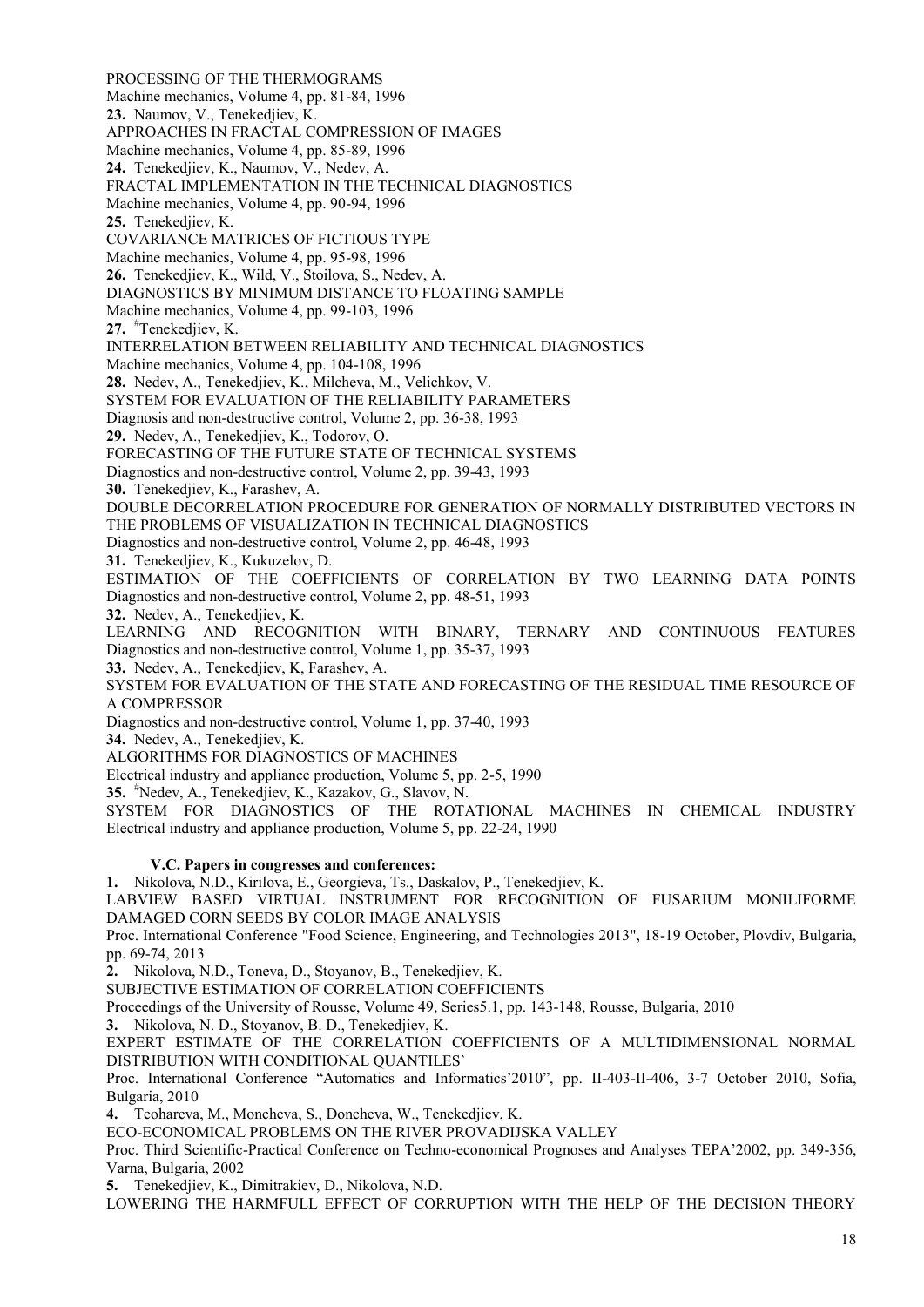PROCESSING OF THE THERMOGRAMS Machine mechanics, Volume 4, pp. 81-84, 1996 **23.** Naumov, V., Tenekedjiev, K. APPROACHES IN FRACTAL COMPRESSION OF IMAGES Machine mechanics, Volume 4, pp. 85-89, 1996 **24.** Tenekedjiev, K., Naumov, V., Nedev, A. FRACTAL IMPLEMENTATION IN THE TECHNICAL DIAGNOSTICS Machine mechanics, Volume 4, pp. 90-94, 1996 **25.** Tenekedjiev, K. COVARIANCE MATRICES OF FICTIOUS TYPE Machine mechanics, Volume 4, pp. 95-98, 1996 **26.** Tenekedjiev, K., Wild, V., Stoilova, S., Nedev, A. DIAGNOSTICS BY MINIMUM DISTANCE TO FLOATING SAMPLE Machine mechanics, Volume 4, pp. 99-103, 1996 **27.** #Tenekedjiev, K. INTERRELATION BETWEEN RELIABILITY AND TECHNICAL DIAGNOSTICS Machine mechanics, Volume 4, pp. 104-108, 1996 **28.** Nedev, A., Tenekedjiev, K., Milcheva, M., Velichkov, V. SYSTEM FOR EVALUATION OF THE RELIABILITY PARAMETERS Diagnosis and non-destructive control, Volume 2, pp. 36-38, 1993 **29.** Nedev, A., Tenekedjiev, K., Todorov, O. FORECASTING OF THE FUTURE STATE OF TECHNICAL SYSTEMS Diagnostics and non-destructive control, Volume 2, pp. 39-43, 1993 **30.** Tenekedjiev, K., Farashev, A. DOUBLE DECORRELATION PROCEDURE FOR GENERATION OF NORMALLY DISTRIBUTED VECTORS IN THE PROBLEMS OF VISUALIZATION IN TECHNICAL DIAGNOSTICS Diagnostics and non-destructive control, Volume 2, pp. 46-48, 1993 **31.** Tenekedjiev, K., Kukuzelov, D. ESTIMATION OF THE COEFFICIENTS OF CORRELATION BY TWO LEARNING DATA POINTS Diagnostics and non-destructive control, Volume 2, pp. 48-51, 1993 **32.** Nedev, A., Tenekedjiev, K. LEARNING AND RECOGNITION WITH BINARY, TERNARY AND CONTINUOUS FEATURES Diagnostics and non-destructive control, Volume 1, pp. 35-37, 1993 **33.** Nedev, A., Tenekedjiev, K, Farashev, A. SYSTEM FOR EVALUATION OF THE STATE AND FORECASTING OF THE RESIDUAL TIME RESOURCE OF A COMPRESSOR Diagnostics and non-destructive control, Volume 1, pp. 37-40, 1993 **34.** Nedev, A., Tenekedjiev, K. ALGORITHMS FOR DIAGNOSTICS OF MACHINES Electrical industry and appliance production, Volume 5, pp. 2-5, 1990 **35.** #Nedev, A., Tenekedjiev, K., Kazakov, G., Slavov, N. SYSTEM FOR DIAGNOSTICS OF THE ROTATIONAL MACHINES IN CHEMICAL INDUSTRY Electrical industry and appliance production, Volume 5, pp. 22-24, 1990 **V.C. Papers in congresses and conferences: 1.** Nikolova, N.D., Kirilova, E., Georgieva, Ts., Daskalov, P., Tenekedjiev, K. LABVIEW BASED VIRTUAL INSTRUMENT FOR RECOGNITION OF FUSARIUM MONILIFORME DAMAGED CORN SEEDS BY COLOR IMAGE ANALYSIS Proc. International Conference "Food Science, Engineering, and Technologies 2013", 18-19 October, Plovdiv, Bulgaria, pp. 69-74, 2013 **2.** Nikolova, N.D., Toneva, D., Stoyanov, B., Tenekedjiev, K. SUBJECTIVE ESTIMATION OF CORRELATION COEFFICIENTS Proceedings of the University of Rousse, Volume 49, Series5.1, pp. 143-148, Rousse, Bulgaria, 2010 **3.** Nikolova, N. D., Stoyanov, B. D., Tenekedjiev, K.

EXPERT ESTIMATE OF THE CORRELATION COEFFICIENTS OF A MULTIDIMENSIONAL NORMAL DISTRIBUTION WITH CONDITIONAL QUANTILES`

Proc. International Conference "Automatics and Informatics'2010", pp. II-403-II-406, 3-7 October 2010, Sofia, Bulgaria, 2010

**4.** Teohareva, M., Moncheva, S., Doncheva, W., Tenekedjiev, K.

ECO-ECONOMICAL PROBLEMS ON THE RIVER PROVADIJSKA VALLEY

Proc. Third Scientific-Practical Conference on Techno-economical Prognoses and Analyses TEPA'2002, pp. 349-356, Varna, Bulgaria, 2002

**5.** Tenekedjiev, K., Dimitrakiev, D., Nikolova, N.D.

LOWERING THE HARMFULL EFFECT OF CORRUPTION WITH THE HELP OF THE DECISION THEORY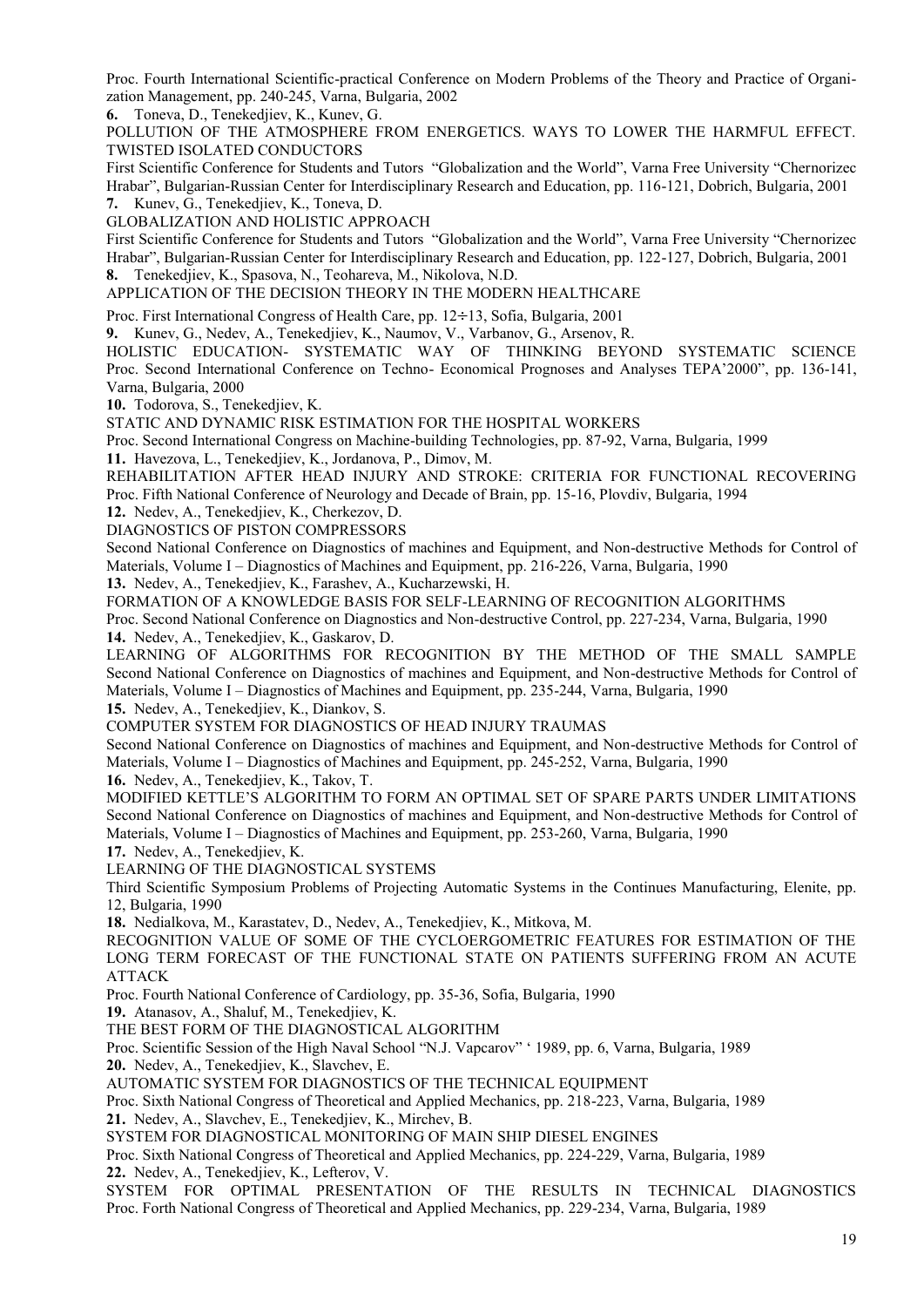Proc. Fourth International Scientific-practical Conference on Modern Problems of the Theory and Practice of Organi zation Management, pp. 240-245, Varna, Bulgaria, 2002

**6.** Toneva, D., Tenekedjiev, K., Kunev, G.

POLLUTION OF THE ATMOSPHERE FROM ENERGETICS. WAYS TO LOWER THE HARMFUL EFFECT. TWISTED ISOLATED CONDUCTORS

First Scientific Conference for Students and Tutors "Globalization and the World", Varna Free University "Chernorizec Hrabar", Bulgarian-Russian Center for Interdisciplinary Research and Education, pp. 116-121, Dobrich, Bulgaria, 2001 **7.** Kunev, G., Tenekedjiev, K., Toneva, D.

GLOBALIZATION AND HOLISTIC APPROACH

First Scientific Conference for Students and Tutors "Globalization and the World", Varna Free University "Chernorizec Hrabar", Bulgarian-Russian Center for Interdisciplinary Research and Education, pp. 122-127, Dobrich, Bulgaria, 2001 **8.** Tenekedjiev, K., Spasova, N., Teohareva, M., Nikolova, N.D.

APPLICATION OF THE DECISION THEORY IN THE MODERN HEALTHCARE

Proc. First International Congress of Health Care, pp.  $12 \div 13$ , Sofia, Bulgaria, 2001

**9.** Kunev, G., Nedev, A., Tenekedjiev, K., Naumov, V., Varbanov, G., Arsenov, R.

HOLISTIC EDUCATION- SYSTEMATIC WAY OF THINKING BEYOND SYSTEMATIC SCIENCE Proc. Second International Conference on Techno- Economical Prognoses and Analyses TEPA'2000", pp. 136-141, Varna, Bulgaria, 2000

**10.** Todorova, S., Tenekedjiev, K.

STATIC AND DYNAMIC RISK ESTIMATION FOR THE HOSPITAL WORKERS

Proc. Second International Congress on Machine-building Technologies, pp. 87-92, Varna, Bulgaria, 1999

**11.** Havezova, L., Tenekedjiev, K., Jordanova, P., Dimov, M.

REHABILITATION AFTER HEAD INJURY AND STROKE: CRITERIA FOR FUNCTIONAL RECOVERING Proc. Fifth National Conference of Neurology and Decade of Brain, pp. 15-16, Plovdiv, Bulgaria, 1994

**12.** Nedev, A., Tenekedjiev, K., Cherkezov, D.

DIAGNOSTICS OF PISTON COMPRESSORS

Second National Conference on Diagnostics of machines and Equipment, and Non-destructive Methods for Control of Materials, Volume I – Diagnostics of Machines and Equipment, pp. 216-226, Varna, Bulgaria, 1990

**13.** Nedev, A., Tenekedjiev, K., Farashev, A., Kucharzewski, H.

FORMATION OF A KNOWLEDGE BASIS FOR SELF-LEARNING OF RECOGNITION ALGORITHMS Proc. Second National Conference on Diagnostics and Non-destructive Control, pp. 227-234, Varna, Bulgaria, 1990

**14.** Nedev, A., Tenekedjiev, K., Gaskarov, D.

LEARNING OF ALGORITHMS FOR RECOGNITION BY THE METHOD OF THE SMALL SAMPLE Second National Conference on Diagnostics of machines and Equipment, and Non-destructive Methods for Control of Materials, Volume I – Diagnostics of Machines and Equipment, pp. 235-244, Varna, Bulgaria, 1990 **15.** Nedev, A., Tenekedjiev, K., Diankov, S.

COMPUTER SYSTEM FOR DIAGNOSTICS OF HEAD INJURY TRAUMAS

Second National Conference on Diagnostics of machines and Equipment, and Non-destructive Methods for Control of Materials, Volume I – Diagnostics of Machines and Equipment, pp. 245-252, Varna, Bulgaria, 1990

**16.** Nedev, A., Tenekedjiev, K., Takov, T.

MODIFIED KETTLE'S ALGORITHM TO FORM AN OPTIMAL SET OF SPARE PARTS UNDER LIMITATIONS Second National Conference on Diagnostics of machines and Equipment, and Non-destructive Methods for Control of Materials, Volume I – Diagnostics of Machines and Equipment, pp. 253-260, Varna, Bulgaria, 1990

**17.** Nedev, A., Tenekedjiev, K.

LEARNING OF THE DIAGNOSTICAL SYSTEMS

Third Scientific Symposium Problems of Projecting Automatic Systems in the Continues Manufacturing, Elenite, pp. 12, Bulgaria, 1990

**18.** Nedialkova, M., Karastatev, D., Nedev, A., Tenekedjiev, K., Mitkova, M.

RECOGNITION VALUE OF SOME OF THE CYCLOERGOMETRIC FEATURES FOR ESTIMATION OF THE LONG TERM FORECAST OF THE FUNCTIONAL STATE ON PATIENTS SUFFERING FROM AN ACUTE ATTACK

Proc. Fourth National Conference of Cardiology, pp. 35-36, Sofia, Bulgaria, 1990

**19.** Atanasov, A., Shaluf, M., Tenekedjiev, K.

THE BEST FORM OF THE DIAGNOSTICAL ALGORITHM

Proc. Scientific Session of the High Naval School "N.J. Vapcarov" ' 1989, pp. 6, Varna, Bulgaria, 1989

**20.** Nedev, A., Tenekedjiev, K., Slavchev, E.

AUTOMATIC SYSTEM FOR DIAGNOSTICS OF THE TECHNICAL EQUIPMENT

Proc. Sixth National Congress of Theoretical and Applied Mechanics, pp. 218-223, Varna, Bulgaria, 1989

**21.** Nedev, A., Slavchev, E., Tenekedjiev, K., Mirchev, B.

SYSTEM FOR DIAGNOSTICAL MONITORING OF MAIN SHIP DIESEL ENGINES

Proc. Sixth National Congress of Theoretical and Applied Mechanics, pp. 224-229, Varna, Bulgaria, 1989 **22.** Nedev, A., Tenekedjiev, K., Lefterov, V.

SYSTEM FOR OPTIMAL PRESENTATION OF THE RESULTS IN TECHNICAL DIAGNOSTICS Proc. Forth National Congress of Theoretical and Applied Mechanics, pp. 229-234, Varna, Bulgaria, 1989